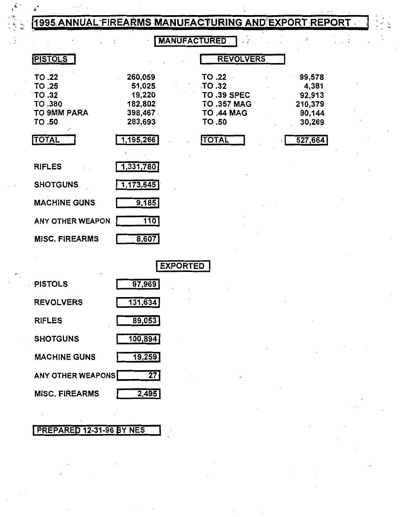## 1995 ANNUAL FIREARMS MANUFACTURING AND EXPORT REPORT

 $\ddot{\phantom{a}}$ 

 $\vdots$ 

**MANUFACTURED** 

 $\frac{1}{2}$  ,  $\frac{1}{2}$ 

 $\ddot{\tilde z}$ 

| <b>PISTOLS</b>          |           | <b>REVOLVERS</b>   |         |
|-------------------------|-----------|--------------------|---------|
| TO .22                  | 260,059   | TO .22             | 99,578  |
| TO .25                  | 51,025    | TO.32              | 4,381   |
| TO .32                  | 19,220    | <b>TO .39 SPEC</b> | 92,913  |
| TO .380                 | 182,802   | <b>TO .357 MAG</b> | 210,379 |
| <b>TO 9MM PARA</b>      | 398,467   | <b>TO .44 MAG</b>  | 90,144  |
| TO .50                  | 283,693   | TO .50             | 30,269  |
| <b>TOTAL</b>            | 1,195,266 | <b>TOTAL</b>       | 527,664 |
| <b>RIFLES</b>           | 1,331,780 |                    |         |
| <b>SHOTGUNS</b>         | 1,173,645 |                    |         |
| <b>MACHINE GUNS</b>     | 9,185     |                    |         |
| <b>ANY OTHER WEAPON</b> | 110       |                    |         |
| <b>MISC. FIREARMS</b>   | 8,607     |                    |         |

|                          | <b>EXPORTED</b> |
|--------------------------|-----------------|
| <b>PISTOLS</b>           | 97,969          |
| <b>REVOLVERS</b>         | 131,634         |
| <b>RIFLES</b>            | 89,053          |
| <b>SHOTGUNS</b>          | 100,894         |
| <b>MACHINE GUNS</b>      | 19,259          |
| <b>ANY OTHER WEAPONS</b> | 27              |
| <b>MISC. FIREARMS</b>    | 2,495           |
|                          |                 |

## PREPARED 12-31-96 BY NES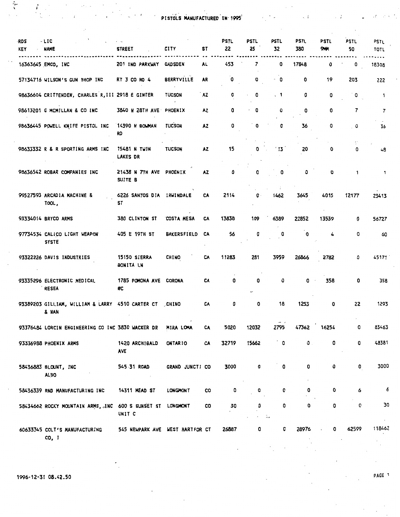**Executive PISTOLS MANUFACTURED IN 1995** 

 $\ddot{\phantom{0}}$ 

 $\sim$  7

 $\overline{\phantom{a}}$ 

| <b>RDS</b><br>KEY | - LIC<br>NAME                                                   | <b>STREET</b>                          | <b>CITY</b>        | ST        | PSTL<br>22 | <b>PSTL</b><br>25 | PSTL<br>32 | <b>PSTL</b><br>380 | <b>PSTL</b><br>944 | PSTL<br>50 | PSTL<br>TOTL |
|-------------------|-----------------------------------------------------------------|----------------------------------------|--------------------|-----------|------------|-------------------|------------|--------------------|--------------------|------------|--------------|
|                   | 16363645 EMCO, INC                                              | 201 IND PARKWAY                        | <b>GAD SDEN</b>    | <b>AL</b> | 453        | 7                 | 0          | 17848              | 0                  | 0          | 18308        |
|                   | 57134716 WILSON'S GUN SHOP INC                                  | RT 3 CO RD 4                           | <b>BERRYVILLE</b>  | AR        | 0          | 0                 | - 0        | 0                  | 19                 | 203        | 222          |
|                   | 98636604 CRITTENDEN, CHARLES R, III 2918 E GINTER               |                                        | <b>TUCSON</b>      | AZ.       | 0          | 0                 | $\cdot$ 1  | 0                  | 0                  | 0          | 1            |
|                   | 98613201 G MCMILLAN & CO INC                                    | 3840 N 28TH AVE PHOENIX                |                    | A2        | 0          | 0                 | 0          | ٥                  | 0                  | 7          | 7            |
|                   | 98636445 POWELL KNIFE PISTOL INC                                | 14390 N BOWMAN<br><b>RD</b>            | <b>TUCSON</b>      | AZ.       | 0          | 0                 | 0          | 36                 | 0                  | 0          | 36           |
|                   | 98633332 R & R SPORTING ARMS INC                                | <b>15481 N TWIN</b><br><b>LAKES DR</b> | <b>TUCSON</b>      | <b>AZ</b> | 15         | 0                 | ່ 13       | 20                 | 0                  | 0          | 48           |
|                   | 98636542 ROBAR COMPANIES INC                                    | 21438 N 7TH AVE PHOENIX<br>SUITE B     |                    | <b>AZ</b> | 0          | 0                 | 0          | o                  | o                  | 1.         | 1            |
|                   | 99527593 ARCADIA MACHINE &<br>TOOL,                             | 6226 SANTOS DIA IRWINDALE<br>ST        |                    | CA        | 2114       | 0                 | 1462       | 3645               | 4015               | 12177      | 23413        |
|                   | 93334014 BRYCO ARMS                                             | 380 CLINTON ST                         | <b>COSTA MESA</b>  | CA        | 13838      | 109               | 6389       | 22852              | 13539              | 0          | 56727        |
|                   | 97734534 CALICO LIGHT WEAPON<br><b>SYSTE</b>                    | 405 E 19TH ST                          | <b>BAKERSFIELD</b> | CA        | 56         | O                 | 0          | 0                  | 4                  | 0          | 60           |
|                   | 93322226 DAVIS INDUSTRIES                                       | 15150 SIERRA<br><b>BONITA LN</b>       | <b>CHINO</b>       | CA        | 11283      | 281               | 3959       | 26866              | 2782               | 0          | 45171        |
|                   | 93335296 ELECTRONIC MEDICAL<br><b>RESEA</b>                     | 1785 POMONA AVE CORONA<br>#C           |                    | CA        | 0          | ٥                 | 0          | 0                  | 358                | 0          | 358          |
|                   | 93389203 GILLIAM, WILLIAM & LARRY 4510 CARTER CT CHINO<br>& NAN |                                        |                    | CA        | 0          | 0                 | 18         | 1253               | 0                  | 22         | 1293         |
|                   | 93376484 LORCIN ENGINEERING CO INC 3830 WACKER DR               |                                        | MIRA LOHA          | CA        | 5020       | 12032             | 2795       | 47362              | 16254              | 0          | 83463        |
|                   | 93336988 PHOENIX ARMS                                           | 1420 ARCHIBALD<br><b>AVE</b>           | <b>ONTARIO</b>     | CA        | 32719      | 15662             | 0          | $\mathbf 0$ .      | 0                  | 0          | 48381        |
|                   | 58436883 BLOUNT, INC<br><b>ALSO</b>                             | 545 31 ROAD                            | GRAND JUNCTI CO    |           | 3000       | 0                 | 0          | 0                  | 0                  | 0          | 3000         |
|                   | 58436339 RND MANUFACTURING INC                                  | 14311 MEAD ST                          | <b>LONGMONT</b>    | co        | 0          | 0                 | 0          | 0                  | 0                  | 6          |              |
|                   | 58434662 ROCKY MOUNTAIN ARMS, JNC                               | 600 S SUNSET ST LONGMONT<br>UNIT C     |                    | CO        | 30         | ٥                 | 0<br>÷.    | 0                  | 0                  | 0          | 30           |
|                   | 60633345 COLT'S MANUFACTURING<br>CO.I                           | 545 NEWPARK AVE WEST HARTFOR CT        |                    |           | 26887      | 0                 | 0          | 28976              | 0                  | 62599      | 11846        |

 $\frac{1}{\sqrt{2}}$ 

 $\begin{array}{c} \frac{1}{2} & \frac{1}{2} \\ \frac{1}{2} & \frac{1}{2} \\ \frac{1}{2} & \frac{1}{2} \end{array}$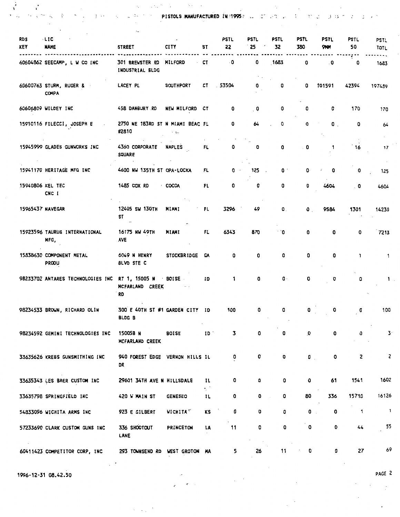$\mathcal{A}_{\mathcal{M}}=\mathcal{A}_{\mathcal{M}}\mathcal{M}^{\mathcal{M}}$  . The contract  $\mathcal{A}_{\mathcal{M}}$ 

**Second and the second contract of the Second Second Second Second Second Second Second Second Second Second Second Second Second Second Second Second Second Second Second Second Second Second Second Second Second Second S** 

 $\sim$ 

 $\sim$ 

 $\sim 10^{-1}$ 

| <b>RDS</b><br><b>KEY</b> | $-$ LIC<br><b>NAME</b>                   | <b>STREET</b>                                     | <b>CITY</b>        | ST              | <b>PSTL</b><br>22 | PSTL<br>25               | PSTL<br>32     | PSTL<br>380  | PSTL<br>9111 | PSTL<br>50 | <b>PSTL</b><br><b>TOTL</b> |
|--------------------------|------------------------------------------|---------------------------------------------------|--------------------|-----------------|-------------------|--------------------------|----------------|--------------|--------------|------------|----------------------------|
|                          | 60604862 SEECAMP, L W CO INC             | 301 BREWSTER RD<br>INDUSTRIAL BLDG                | <b>MILFORD</b>     | CT              | $\cdot$ O         | 0                        | 1683           | 0            | . $\bm{0}$   | 0          | 1683                       |
|                          | 60600763 STURM, RUGER &<br><b>COMPA</b>  | LACEY PL                                          | <b>SOUTHPORT</b>   | CT              | 53504             | 0                        | 0              | 0            | 101591       | 42394      | 197489                     |
|                          | 60606809 WILDEY INC                      | 458 DANBURY RD                                    | NEW MILFORD        | CT              | 0                 | $\overline{\phantom{a}}$ | 0              | ٥            | 0            | 170        | 170                        |
|                          | 15910116 FILECCI, JOSEPH E               | 2750 NE 183RD ST N MIAMI BEAC FL<br>#2810         | - 15               |                 | ٥                 | 64                       | O              | 0            | $\bullet$ .  | ٥          | 64                         |
|                          | 15945999 GLADES GUNWORKS INC             | 4360 CORPORATE<br><b>SQUARE</b>                   | <b>NAPLES</b>      | FL.             | 0                 | ٥                        | 0              | . 0          | 1            | 16         | 17                         |
|                          | 15941170 HERITAGE MFG INC                | 4600 NW 135TH ST OPA-LOCKA                        |                    | FL              | $\mathbf{0}$      | 125                      | 0.<br>$\sim$   | ٥            | 0            | 0          | 125                        |
| 15940806 KEL TEC         | CNC I                                    | 1485 COX RD                                       | <b>COCOA</b>       | FL              | 0                 | 0                        | 0              | o            | 4604         | 0          | 4604                       |
| 15965437 NAVEGAR         |                                          | 12405 SW 130TH<br>ST                              | MIAMI              | FL              | 3296              | 49                       | 0.             | $\mathbf{0}$ | 9584         | 1301       | 14230                      |
|                          | 15923596 TAURUS INTERNATIONAL<br>MFG,    | 16175 NW 49TH<br><b>AVE</b>                       | MIAMI              | FL.             | 6343              | 870                      | 0`             | O            | 0            | 0          | 7213                       |
|                          | 15838630 COMPONENT METAL<br><b>PRODU</b> | 6049 N HENRY<br>BLVD STE C                        | <b>STOCKBRIDGE</b> | GA              | 0                 | 0                        | ٥              | 0            | 0            | 1.         | 1                          |
|                          | 98233702 ANTARES TECHNOLOGIES INC        | RT 1, 15005 N<br>MCFARLAND CREEK<br><b>RD</b>     | BOISE              | 10              | 1                 | 0                        | $\mathbf{0}$ . | 0            | 0            | o          |                            |
|                          | 98234533 BROWN, RICHARD OLIN             | 300 E 40TH ST #1 GARDEN CITY<br>BLDG <sub>B</sub> |                    | - 10<br>$\cdot$ | 100               | 0                        | 0              | 0            | 0            | 0          | 100                        |
|                          | 98234592 GEMINI TECHNOLOGIES INC         | 15005B N<br>MCFARLAND CREEK                       | <b>BOISE</b>       | $ID$ .          | 3                 | 0                        | 0              | 0            | 0            | 0          | 3.                         |
|                          | 33635626 KREBS GUNSMITHING INC           | 940 FOREST EDGE VERNON HILLS IL<br>DR             |                    |                 | 0                 | 0                        | 0              | $\mathbf{0}$ | 0            | z          | 2                          |
|                          | 33635343 LES BAER CUSTOM INC             | 29601 34TH AVE N HILLSDALE                        |                    | ΙL<br>٠.        | 0                 | 0                        | 0              | 0            | 61           | 1541       | 1602                       |
|                          | 33635798 SPRINGFIELD INC                 | 420 W MAIN ST                                     | <b>GENESEO</b>     | 11              | 0                 | 0                        | 0              | 80           | 336          | 15710      | 16126                      |
|                          | 54833096 WICHITA ARMS INC                | 923 E GILBERT                                     | WICHITA*           | KS              | 0                 | 0                        | 0              | $\bullet$    | 0            | 1          | $\overline{\mathbf{1}}$    |
|                          | 57233690 CLARK CUSTOM GUNS INC           | 336 SHOOTOUT<br>LANE                              | PRINCETON          | LA              | 11                | 0<br>the company         | 0              | 0            | 0            | 44         | 55                         |
|                          | 60411423 COMPETITOR CORP, INC            | 293 TOWNSEND RD WEST GROTON MA                    |                    |                 | 5                 | 26                       | 11             | O            | 0            | 27         | 69                         |

 $\sim 10^{-10}$ 

 $\sim$ 

 $\sim$  $\overline{\phantom{a}}$ 

 $\hat{\mathbf{z}}^{(i)}$  ,  $\hat{\mathbf{z}}^{(i)}$  ,

 $\lambda = \mu_{\rm eff}^{-1/3}$ 

1996-12-31 08.42.50

 $\begin{array}{l} \mathfrak{F}_{\mathbb{C}}^{\mathbb{C}} \longrightarrow \mathfrak{F}_{\mathbb{C}}^{\mathbb{C}} \\ \mathfrak{F}_{\mathbb{C}}^{\mathbb{C}} \longrightarrow \mathfrak{F}_{\mathbb{C}}^{\mathbb{C}} \longrightarrow \mathfrak{F}_{\mathbb{C}}^{\mathbb{C}} \longrightarrow \mathfrak{F}_{\mathbb{C}}^{\mathbb{C}} \longrightarrow \mathfrak{F}_{\mathbb{C}}^{\mathbb{C}} \end{array}$ 

 $\frac{1}{\sqrt{2}}$ 

PAGE 2

 $\ddot{\phantom{a}}$ 

 $\sim 10^{-10}$  $\sim 25$ 

 $\bar{\mathcal{A}}$ 

 $\cdot$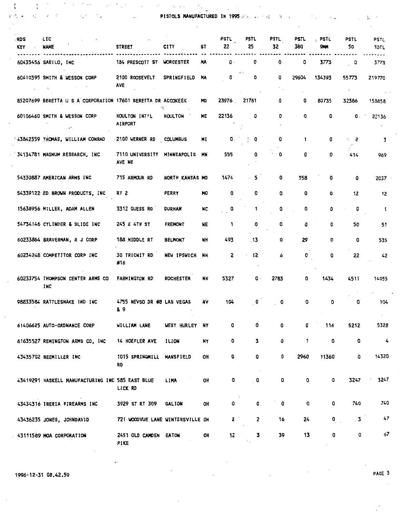$\ddot{\phantom{a}}$ 

 $\sim$ 

 $\mathcal{A}^{(1)}$  Ma

 $\begin{array}{ccccc} \mathfrak{e} & & & \mathfrak{e} & \mathbb{P}^1 \\ \mathfrak{P} & & & \mathfrak{f} & \mathbb{P}^1 \end{array}$ 

 $\mathcal{O}(\sqrt{2})$  ,  $\mathcal{O}(\sqrt{2})$ 

 $\mathcal{F}^{\mathcal{G}}_{\mathcal{G}}(x)$  ,  $\mathcal{F}^{\mathcal{G}}_{\mathcal{G}}(x)$ 

 $\ddot{\phantom{a}}$  .

 $\sim$   $25$  $\mathbf{v}^k_t$ 

PISTOLS MANUFACTURED IN 1995 , ... ...

 $\lambda$  $\mathcal{A}$ 

. ..

 $\chi$ 

| ∶RD S<br>KEY | <b>LIC</b><br><b>NAME</b>                                    | <b>STREET</b>                          | <b>CITY</b>        | ST        | PSTL<br>22     | PSTL<br>25   | <b>PSTL.</b><br>32               | <b>PSTL</b><br>380 | . PSTL<br><b>9KM</b> | <b>PSTL</b><br>50   | PSTL<br><b>TOTL</b> |
|--------------|--------------------------------------------------------------|----------------------------------------|--------------------|-----------|----------------|--------------|----------------------------------|--------------------|----------------------|---------------------|---------------------|
|              | 60435456 SAEILO, INC                                         | 184 PRESCOTT ST                        | <b>WORCESTER</b>   | MA        | $\mathbf{0}$ . | 0            | 0                                | 0                  | 3773                 | o                   | 3773                |
|              | 60410395 SMITH & WESSON CORP                                 | 2100 ROOSEVELT<br><b>AVE</b>           | <b>SPRINGFIELD</b> | MA        | $\mathbf{0}$   | ٥            | o<br>$\mathcal{C}_{\mathcal{A}}$ | 29604              | 134393               | 55773<br>$\epsilon$ | 219770              |
|              | 85207699 BERETTA U S A CORPORATION 17601 BERETTA DR ACCOKEEK |                                        |                    | MD        | 23976          | 21761        | ٥                                | 0                  | 80735                | 32386               | 158858              |
|              | 60106460 SMITH & WESSON CORP                                 | HOULTON INT'L<br><b>AIRPORT</b>        | <b>HOULTON</b>     | ME        | 22136          | 0            | 0                                | o                  | 0                    | 0.                  | 22136               |
|              | 43842359 THOMAS, WILLIAM CONRAD                              | -2100 VERNER RD COLUMBUS               |                    | MI        | 0.             | 0            | 0                                | 1                  | 0                    | $\sim$ 2            | 3                   |
|              | 34134781 MAGNUM RESEARCH, INC.                               | 7110 UNIVERSITY MINNEAPOLIS<br>AVE NE  |                    | MN        | 555            | 0            | 0                                | O                  | 0                    | 414                 | 969                 |
|              | 54330887 AMERICAN ARMS INC                                   | 715 ARMOUR RD                          | NORTH KANSAS MO    |           | 1474           | - 5          | 0                                | 558                | 0                    | 0                   | 2037                |
|              | 54339122 ED BROWN PRODUCTS, INC.                             | RT 2                                   | PERRY              | MО        | 0              | 0            | 0                                | 0                  | 0                    | 12                  | 12                  |
|              | 15638956 MILLER, ADAM ALLEN                                  | 3312 GUESS RD                          | <b>DURHAM</b>      | NC        | 0              | 1            | ٥                                | 0                  | 0                    | 0                   | -1                  |
|              | 54734146 CYLINDER & SLIDE INC                                | 245 E 4TH ST                           | <b>FREMONT</b>     | NE        | 1              | 0            | 0                                | 0                  | ٥                    | 50                  | 51                  |
|              | 60233864 BRAVERMAN, R J CORP                                 | 188 MIDDLE RT                          | <b>BELMONT</b>     | NH.       | 493            | . 13         | 0                                | 29                 | 0                    | 0                   | 535                 |
|              | 60234248 COMPETITOR CORP INC                                 | 30 TRICNIT RD<br>#16                   | NEW IPSWICH        | <b>NH</b> | 2              | 12           | 6                                | 0                  | 0                    | 22                  | 42                  |
|              | 60233754 THOMPSON CENTER ARMS CO<br>INC                      | <b>FARMINGTON RD</b>                   | <b>ROCHESTER</b>   | <b>NH</b> | 5327           | 0 ·          | 2783                             | ٥                  | 1434                 | 4511                | 14055               |
|              | 98833584 RATTLESNAKE IND INC                                 | 4755 NEVSO DR #8 LAS VEGAS<br>& 9      |                    | NV        | 104            | 0            | 0                                | ٥                  | ٥                    | ٥                   | 104                 |
|              | 61406625 AUTO-ORDNANCE CORP                                  | WILLIAM LANE                           | WEST HURLEY NY     |           | 0              | 0            | 0                                | o                  | 116                  | 5212                | 5328                |
|              | 61635527 REMINGTON ARMS CO, INC                              | 14 HOEFLER AVE                         | ILION              | NY        | 0              | 3            | 0                                | 1                  | 0                    | 0                   | 4                   |
|              | 43435702 BEEMILLER INC                                       | 1015 SPRINGMILL MANSFIELD<br><b>RD</b> |                    | OH        | 0              | 0            | 0                                | 2960               | 11360                | 0                   | 14320               |
|              | 43419291 HASKELL MANUFACTURING INC 585 EAST BLUE             | LICK RD                                | LIMA               | OH        | 0              | 0            | 0                                | 0                  | 0                    | 3247                | 3247                |
|              | 43434316 IBERIA FIREARMS INC                                 | 3929 ST RT 309 GALION                  |                    | OH        | 0              | 0            | 0                                | 0                  | 0                    | 740                 | 740                 |
|              | 43436235 JONES, JOHNDAVID                                    | 721 WOODVUE LANE WINTERSVILLE OH       |                    |           | 2              | $\mathbf{z}$ | 16                               | 24                 | $\mathbf{0}$         | $\overline{3}$      | 47                  |
|              | 43111589 MOA CORPORATION                                     | 2451 OLD CAMDEN EATON<br>PIKE          |                    | OH        | 12             | 3            | 39                               | 13                 | 0                    | 0                   | 67                  |

1996-12-31 08.42.50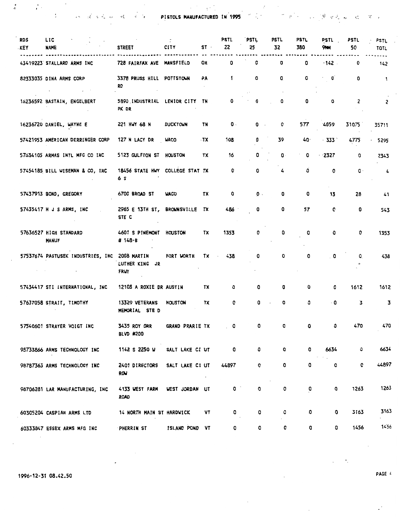을 하는 것이다.<br>그 그 그 그 그 그 그 그 그 그 그 그 그 그 PISTOLS MANUFACTURED IN 1995 - 그 그 그 그 그 그 그 그 그 그 그 그 그 그 그 그

 $\overline{\phantom{a}}$ 

| RDS<br><b>KEY</b> | LIC<br><b>NAME</b>                             | <b>STREET</b>                          | <b>CITY</b>     | ST · | PSTL<br>22                                                                                                                                                                                                                                                                                                                                                                                                                                                                      | PSTL<br>25     | PSTL<br>32                | PSTL<br>380 | PSTL<br>9111             | PSTL<br>50     | <b>PSTL</b><br>TOTL |  |
|-------------------|------------------------------------------------|----------------------------------------|-----------------|------|---------------------------------------------------------------------------------------------------------------------------------------------------------------------------------------------------------------------------------------------------------------------------------------------------------------------------------------------------------------------------------------------------------------------------------------------------------------------------------|----------------|---------------------------|-------------|--------------------------|----------------|---------------------|--|
|                   | 43419223 STALLARD ARMS INC                     | 728 FAIRFAX AVE MANSFIELD              |                 | OH   | 0                                                                                                                                                                                                                                                                                                                                                                                                                                                                               | 0              | 0                         | 0           | $-142$ .                 | 0              | 142                 |  |
|                   | 82333035 DINA ARMS CORP<br>$\omega_{\rm{max}}$ | 3378 PRUSS HILL POTTSTOWN<br><b>RD</b> |                 | РA   | 1                                                                                                                                                                                                                                                                                                                                                                                                                                                                               | 0              | 0                         | ٥           | ٥                        | 0              | -1                  |  |
|                   | 16236592 BASTAIN, ENGELBERT                    | 5890 INDUSTRIAL LENIOR CITY<br>PK DR   |                 | TN   | ٥                                                                                                                                                                                                                                                                                                                                                                                                                                                                               | ٥              | ٥                         | 0           | 0                        | 2              | 2                   |  |
|                   | 16236720 DANIEL, WAYNE E                       | 221 HWY 68 N                           | <b>DUCKTOWN</b> | TN   | $\mathbf{0}$ .                                                                                                                                                                                                                                                                                                                                                                                                                                                                  | 0.             | ٥                         | 577         | 4059                     | 31075          | 35711               |  |
|                   | 57421953 AMERICAN DERRINGER CORP               | 127 N LACY DR                          | <b>WACO</b>     | - TX | 108                                                                                                                                                                                                                                                                                                                                                                                                                                                                             | ٥              | 39                        | 40.         | $+333$ $^{\circ}$        | 4775           | 5295                |  |
|                   | 57634105 ARMAS INTL MFG CO INC                 | 5123 GULFTON ST HOUSTON                |                 | TX   | 16                                                                                                                                                                                                                                                                                                                                                                                                                                                                              | 0              | 0 -                       | 0           | 2327                     | 0              | 2343                |  |
|                   | 57454185 BILL WISEMAN & CO, INC                | 18456 STATE HWY COLLEGE STAT TX<br>6 S |                 |      | 0                                                                                                                                                                                                                                                                                                                                                                                                                                                                               | 0              | 4                         | 0           | 0                        | $\mathbf{0}$ . | 4                   |  |
|                   | 57437913 BOND, GREGORY                         | 6700 BROAD ST                          | <b>WACO</b>     | TX   | 0                                                                                                                                                                                                                                                                                                                                                                                                                                                                               | $\mathbf{0}$ . | 0                         | 0           | 13                       | 28             | 41                  |  |
|                   | 57435417 H J S ARMS, INC                       | 2965 E 13TH ST, BROWNSVILLE<br>STE C   |                 | TX.  | 486                                                                                                                                                                                                                                                                                                                                                                                                                                                                             | O              | 0                         | 57          | 0                        | 0              | 543                 |  |
|                   | 57636527 HIGH STANDARD<br><b>MANUF</b>         | 4601 S PINEMONT HOUSTON<br># 148-В     |                 | TX   | 1353                                                                                                                                                                                                                                                                                                                                                                                                                                                                            | 0              | 0                         | o           | o                        | 0              | 1353                |  |
|                   | 57537674 PASTUSEK INDUSTRIES, INC.             | 2008 MARTIN<br>LUTHER KING JR<br>FRWY  | FORT WORTH      | TX   | 438                                                                                                                                                                                                                                                                                                                                                                                                                                                                             | 0              | 0                         | o           | $\overline{\phantom{a}}$ | ٥              | 438                 |  |
|                   | 57434417 STI INTERNATIONAL, INC                | 12108 A ROXIE DR AUSTIN                |                 | TX   | 0                                                                                                                                                                                                                                                                                                                                                                                                                                                                               | 0              | 0                         | ٥           | 0                        | 1612           | 1612                |  |
|                   | 57637058 STRAIT, TIMOTHY                       | 13329 VETERANS<br>MEMORIAL STE D       | <b>HOUSTON</b>  | TX   | 0                                                                                                                                                                                                                                                                                                                                                                                                                                                                               | 0              | 0<br>$\ddot{\phantom{a}}$ | o           | $\cdot$ 0                | 3              | 3                   |  |
|                   | 57540601 STRAYER VOIGT INC                     | 3435 ROY ORR<br>BLVD #200              | GRAND PRARIE TX |      | $\overline{\phantom{a}}$ $\overline{\phantom{a}}$ $\overline{\phantom{a}}$ $\overline{\phantom{a}}$ $\overline{\phantom{a}}$ $\overline{\phantom{a}}$ $\overline{\phantom{a}}$ $\overline{\phantom{a}}$ $\overline{\phantom{a}}$ $\overline{\phantom{a}}$ $\overline{\phantom{a}}$ $\overline{\phantom{a}}$ $\overline{\phantom{a}}$ $\overline{\phantom{a}}$ $\overline{\phantom{a}}$ $\overline{\phantom{a}}$ $\overline{\phantom{a}}$ $\overline{\phantom{a}}$ $\overline{\$ | $\mathbf{o}$   | 0                         | ٥           | 0                        | 470            | 470                 |  |
|                   | 98733866 ARMS TECHNOLOGY INC                   | 1142 S 2250 W                          | SALT LAKE CI UT |      | 0                                                                                                                                                                                                                                                                                                                                                                                                                                                                               | 0              | ٥                         | 0           | 6634                     | 0              | 6634                |  |
|                   | 98787363 ARMS TECHNOLOGY INC                   | 2401 DIRECTORS<br><b>ROW</b>           | SALT LAKE CI UT |      | 44897                                                                                                                                                                                                                                                                                                                                                                                                                                                                           | o              | 0                         | 0           | 0                        | 0              | 44897               |  |
|                   | 98706281 LAR MANUFACTURING, INC                | 4133 WEST FARM<br><b>ROAD</b>          | WEST JORDAN UT  |      | $\bullet$                                                                                                                                                                                                                                                                                                                                                                                                                                                                       | o              | 0                         | 0           | o                        | 1263           | 1263                |  |
|                   | 60305204 CASPIAN ARMS LTD                      | 14 NORTH MAIN ST HARDWICK              |                 | VT   | 0                                                                                                                                                                                                                                                                                                                                                                                                                                                                               | o              | o                         | ٥           | ٥                        | 3163           | 3163                |  |
|                   | 60333847 ESSEX ARMS MFG INC                    | PHERRIN ST                             | ISLAND POND VT  |      | 0                                                                                                                                                                                                                                                                                                                                                                                                                                                                               | 0              | 0                         | 0           | 0                        | 1456           | 1456                |  |

 $\sim$ 

 $\mathcal{L}_{\mathcal{A}}$ 

- 7  $\mathcal{A}$ 

 $\sim$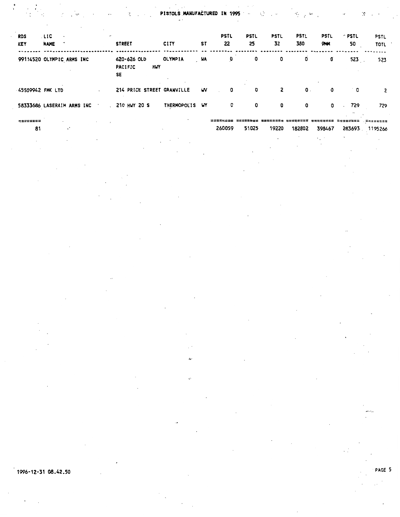PISTOLS.MANUFACTURED IN 1995

| ¢, | : مهٔ |  |  |
|----|-------|--|--|
|    |       |  |  |

í\$

| <b>RDS</b><br><b>KEY</b>   | . LIC<br>$\sim$<br><b>NAME</b> | $\cdot$   |  | <b>STREET</b>                              | <b>CITY</b>    | ST        | <b>PSTL</b><br>22 | <b>PSTL</b><br>25 | <b>PSTL</b><br>32 | <b>PSTL</b><br>380 | <b>PSTL</b><br><b>9141</b> | $^{\circ}$ PSTL.<br>50 | <b>PSTL</b><br><b>TOTL</b> |
|----------------------------|--------------------------------|-----------|--|--------------------------------------------|----------------|-----------|-------------------|-------------------|-------------------|--------------------|----------------------------|------------------------|----------------------------|
| 99114520 OLYMPIC ARMS INC  |                                |           |  | 620-626 OLD<br><b>PACIFIC</b><br>HWY<br>SE | <b>OLYMPIA</b> | <b>WA</b> | o                 | 0                 | 0                 | 0                  | O                          | $523$ .                | 523                        |
| 45509942 FMK LTD           |                                |           |  | 214 PRICE STREET GRANVILLE                 |                | w         | 0                 | 0                 | $\overline{2}$    | $\mathbf 0$ .      | 0                          | ∴ O                    | 2                          |
| 58333686 LASERAIM ARMS INC |                                |           |  | $\sim$ 210 HWY 20 S                        | THERMOPOLIS WY |           | 0                 | 0                 | 0                 | 0                  | 0                          | 729                    | 729                        |
| 81                         |                                | $\cdot$ . |  |                                            |                |           | 260059            | 51025             | 19220             | 182802             | 398467                     |                        | 283693 1195266             |

 $\mathfrak{e}$ 

 $\frac{1}{\sqrt{2}}$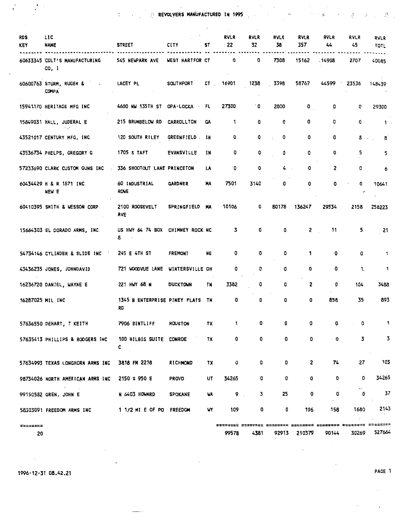REVOLVERS MANUFACTURED IN 1995 .::'·

| <b>RDS</b><br><b>KEY</b> | LIC<br><b>NAME</b>                        | <b>STREET</b>                          | <b>CITY</b>      | ST        | <b>RVLR</b><br>22 | <b>RVLR</b><br>32 | <b>RVLR</b><br>38 | <b>RVLR</b><br>357 | <b>RVLR</b><br>44 | <b>RVLR</b><br>45 | <b>RVLR</b><br>TOTL       |
|--------------------------|-------------------------------------------|----------------------------------------|------------------|-----------|-------------------|-------------------|-------------------|--------------------|-------------------|-------------------|---------------------------|
|                          | 60633345 COLT'S MANUFACTURING<br>CO, I    | 545 NEWPARK AVE                        | WEST HARTFOR CT  |           | 0                 | 0                 | 7308              | 15162              | -14908            | 2707              | 40085                     |
|                          | 60600763 STURM, RUGER & A<br><b>COMPA</b> | LACEY PL                               | <b>SOUTHPORT</b> | CT.       | 16901             | 1238              | 3398              | 58767              | 44599             | 23536             | 148439                    |
|                          | 15941170 HERITAGE MFG INC                 | 4600 NW 135TH ST OPA-LOCKA FL          |                  |           | 27300             | ۰0                | 2000              | 0                  | 0                 | 0                 | 29300                     |
|                          | 15849031 HALL, JUDERAL E                  | 215 BRUMBELOW RD                       | CARROLLTON       | <b>GA</b> | 1                 | 0                 | 0                 | 0                  | 0                 | 0                 | 1.                        |
|                          | 43521017 CENTURY MFG, INC                 | 120 SOUTH RILEY                        | GREENFIELD : IN  |           | 0                 | 0                 | 0                 | 0                  | 0                 | 8                 | 8                         |
|                          | 43536734 PHELPS, GREGORY G                | 1705 S TAFT                            | EVANSVILLE       | IN        | 0                 | 0                 | 0                 | 0                  | 0                 | 5                 | 5                         |
|                          | 57233690 CLARK CUSTOM GUNS INC            | 336 SHOOTOUT LANE PRINCETON            |                  | <b>LA</b> | ۰٥                | 0                 | 4                 | 0                  | 2                 | 0                 | 6                         |
|                          | 60434429 H & R 1871 INC<br>NEW E          | 60 INDUSTRIAL<br>ROVE                  | <b>GARDNER</b>   | MA        | 7501              | 3140              | 0                 | o                  | 0                 | ٥                 | 10641                     |
|                          | 60410395 SMITH & WESSON CORP              | 2100 ROOSEVELT<br><b>AVE</b>           | SPRINGFIELD MA   |           | 10106             | 0                 | 80178             | 136247             | 29534             | 2158              | 258223                    |
|                          | 15664303 EL DORADO ARMS, INC              | US HWY 64 74 BOX CHIMNEY ROCK NC<br>8, |                  |           | 3                 | 0                 | ٥                 | $\mathbf{2}$       | 11                | 5                 | 21                        |
|                          | 54734146 CYLINDER & SLIDE INC             | 245 E 4TH ST                           | <b>FREMONT</b>   | <b>NE</b> | 0                 | 0                 | 0                 | 1                  | 0                 | 0                 | 1                         |
|                          | 43436235 JONES, JOHNDAVID                 | 721 WOODVUE LANE WINTERSVILLE OH       |                  |           | 0                 | 0                 | 0                 | 0                  | 0                 | 1.                | $\mathbf{1}$              |
|                          | 16236720 DANIEL, WAYNE E                  | 221 HWY 68 N                           | <b>DUCKTOWN</b>  | TN        | 3382              | 0                 | 0                 | 2 <sup>1</sup>     | 0                 | 104               | 3488                      |
| 16287025 MIL INC         |                                           | 1345 B ENTERPRISE PINEY FLATS TN<br>RD |                  |           | 0                 | 0                 | 0                 | 0                  | 858               | 35                | 893                       |
|                          | 57636550 DEHART, T KEITH                  | 7906 BINTLIFF                          | HOUSTON          | TX        | 1                 | 0                 | 0                 | 0                  | 0                 | 0                 | 1                         |
|                          | 57635413 PHILLIPS & RODGERS INC           | 100 HILBIG SUITE CONROE<br>с           |                  | TX        | 0                 | 0                 | 0                 | 0                  | 0                 | 3                 | 3                         |
|                          | 57634993 TEXAS LONGHORN ARMS INC          | 3818 FM 2218                           | <b>RICHMOND</b>  | TX        | 0                 | 0                 | 0                 | 2                  | 74                | 27                | 103                       |
|                          | 98734026 NORTH AMERICAN ARMS INC          | 2150 S 950 E                           | <b>PROVO</b>     | UT        | 34265             | 0                 | 0                 | 0                  | 0                 | 0                 | 34265                     |
|                          | الخبد<br>99150582 GREN, JOHN E            | N 6403 HOWARD                          | <b>SPOKANE</b>   | WA        | 9.                | 3                 | 25                | 0                  | 0                 | o                 | 37                        |
|                          | 58303091 FREEDOM ARMS INC                 | 1 1/2 MI E OF PO                       | <b>FREEDOM</b>   | u٢        | 109               | 0                 | 0                 | 196                | 158               | 1680              | 2143                      |
| <b>22222322</b><br>20    |                                           |                                        |                  |           | 99578             | 4381              | ========<br>92913 | 210379             | 90144             | 30269             | <b>23222213</b><br>527664 |
|                          |                                           |                                        |                  |           |                   |                   |                   |                    |                   |                   |                           |

 $\sim$   $\sim$ 

1996-12-31 08.42.21 PAGE 1

 $\overline{\phantom{a}}$ 

 $\sim$  .

 $\label{eq:R1} \begin{array}{c} \mathcal{B} \\ \mathcal{R} \\ \end{array} \qquad \qquad \begin{array}{c} \mathcal{B} \\ \mathcal{B} \\ \end{array}$ 

 $\bar{z}$ 

 $\mathcal{A}$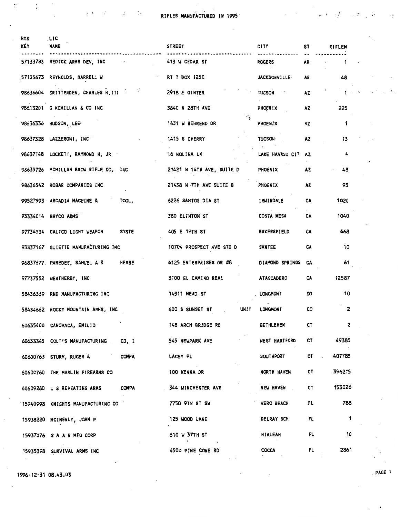RIFLES MANUFACTURED IN 1995 · - ·, : ,- ., ..

| RDS<br><b>KEY</b> | LIC<br><b>NAME</b>                            | <b>STREET</b>                  | <b>CITY</b>          | <b>ST</b> | RIFLEM      |  |
|-------------------|-----------------------------------------------|--------------------------------|----------------------|-----------|-------------|--|
|                   | 57133783 REDICK ARMS DEV, INC                 | 413 W CEDAR ST                 | <b>ROGERS</b>        | <b>AR</b> | -1.         |  |
|                   | 57135673 REYNOLDS, DARRELL W                  | RT 1 BOX 125C                  | <b>JACKSONVILLE</b>  | <b>AR</b> | 48          |  |
|                   | 98636604 CRITTENDEN, CHARLES R, III           | 2918 E GINTER                  | <b>TUCSON</b>        | <b>AZ</b> | $1 + 3$     |  |
|                   | 98613201 G MCMILLAN & CO INC                  | 3840 N 28TH AVE                | PHOENIX              | AZ        | 225         |  |
|                   | 98636336 HUDSON, LEE                          | 1431 W BEHREND DR              | PHOENIX              | AZ.       | -1          |  |
|                   | 98637328 LAZZERONI, INC                       | 1415 S CHERRY                  | <b>TUCSON</b>        | <b>AZ</b> | 13          |  |
|                   | 98637148 LOCKETT, RAYMOND H, JR               | <b>16 NOLINA LN</b>            | LAKE HAVASU CIT      | <b>AZ</b> | 4           |  |
|                   | 98635726 MCMILLAN BROW RIFLE CO, INC          | 21421 N 14TH AVE, SUITE D      | PHOENIX              | AZ.       | 48          |  |
|                   | 98636542 ROBAR COMPANIES INC                  | 21438 N 7TH AVE SUITE B        | PHOENIX              | AZ.       | 93          |  |
|                   | 99527593 ARCADIA MACHINE &<br>TOOL,           | 6226 SANTOS DIA ST             | IRWINDALE            | CA        | 1020        |  |
|                   | 93334014 BRYCO ARMS                           | 380 CLINTON ST                 | <b>COSTA MESA</b>    | CA        | 1040        |  |
|                   | <b>SYSTE</b><br>97734534 CALICO LIGHT WEAPON  | 405 E 19TH ST                  | <b>BAKERSFIELD</b>   | CA        | 668         |  |
|                   | 93337167 GUIETTE MANUFACTURING INC            | 10704 PROSPECT AVE STE D       | <b>SANTEE</b>        | CA        | 10          |  |
|                   | 96837677. PAREDES, SAMUEL A &<br><b>HERBE</b> | 6125 ENTERPRISES DR #8         | DIAMOND SPRINGS      | CA        | 61          |  |
|                   | 97737552 WEATHERBY, INC                       | 3100 EL CAMINO REAL            | <b>ATASCADERO</b>    | CA        | 12587       |  |
|                   | 58436339 RND MANUFACTURING INC                | 14311 MEAD ST                  | LONGHONT             | CO        | 10          |  |
|                   | 58434662 ROCKY MOUNTAIN ARMS, INC             | <b>UNIT</b><br>600 S SUNSET ST | <b>LONGHONT</b>      | CO        | 2           |  |
|                   | 60635400 CANOVACA, EMILIO                     | 148 ARCH BRIDGE RD             | <b>BETHLEHEM</b>     | CT        | 2           |  |
|                   | 60633345 COLT'S MANUFACTURING<br>CO, I        | 545 NEWPARK AVE                | <b>WEST HARTFORD</b> | CТ        | 49385       |  |
|                   | 60600763 STURM, RUGER &<br><b>COMPA</b>       | LACEY PL                       | <b>SOUTHPORT</b>     | CT        | 407785      |  |
|                   | 60600760 THE MARLIN FIREARMS CO               | 100 KENNA DR                   | NORTH HAVEN          | CT        | 396215      |  |
|                   | <b>COMPA</b><br>60609280 U S REPEATING ARMS   | 344 WINCHESTER AVE             | NEW HAVEN            | CT        | 153026      |  |
|                   | 15940998 KNIGHTS MANUFACTURING CO             | 7750 9TH ST SW                 | <b>VERO BEACH</b>    | FL        | 788         |  |
|                   | 15938220 MCINENLY, JOAN P                     | <b>125 WOOD LANE</b>           | DELRAY BCH           | FL        | $\mathbf 1$ |  |
|                   | 15937076 SAARMFGCORP                          | 610 W 37TH ST                  | <b>HIALEAH</b>       | FL        | 10          |  |
|                   | 15935398 SURVIVAL ARMS INC                    | 4500 PINE CONE RD              | COCOA                | FL        | 2861        |  |

 $1996 - 12 - 31 08.43.03$  . PAGE 1

 $\frac{K^2}{2}$  ,  $\frac{K^2}{2}$  ,  $\frac{K^2}{2}$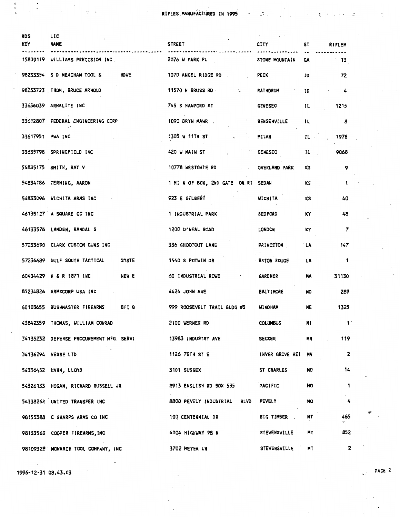RIFLES MANUFACTURED IN 1995

 $\label{eq:2} \mathcal{L} = \mathcal{L} \left( \mathcal{L} \right) \left( \mathcal{L} \right) \left( \mathcal{L} \right) \left( \mathcal{L} \right) \left( \mathcal{L} \right)$ 

 $\ddot{\ddot{z}}$ 

 $\mathbb{R}^+$ 

 $\mathcal{L}_{\mathcal{A}}$ 

| <b>RDS</b><br><b>KEY</b> | LIC<br><b>NAME</b>                           | <b>STREET</b>                                                                                                  | <b>CITY</b>           | ST                            | <b>RIFLEM</b>            |
|--------------------------|----------------------------------------------|----------------------------------------------------------------------------------------------------------------|-----------------------|-------------------------------|--------------------------|
|                          | 15839119 WILLIAMS PRECISION INC.             | 2076 U PARK PL                                                                                                 | STONE MOUNTAIN        | GA.                           | $^{\circ}$ 13            |
|                          | <b>HDWE</b><br>98233354 S D MEACHAM TOOL &   | 1070 ANGEL RIDGE RD.                                                                                           | PECK                  | ID                            | 72                       |
|                          | 98233723 . THOM, BRUCE ARNOLD                | 11570 N BRUSS RD And The Second Second Second Second Second Second Second Second Second Second Second Second S | <b>RATHDRUM</b>       | ID                            | $4 -$                    |
|                          | 33636039 ARMALITE INC                        | 745 S HANFORD ST                                                                                               | <b>GENESEO</b>        | IL                            | 1215                     |
|                          | 33612807 FEDERAL ENGINEERING CORP            | 1090 BRYN MAWR                                                                                                 | <b>BENSENVILLE</b>    | IL.                           | 8                        |
| 33617951 PWA INC         |                                              | 1305 V 11TH ST                                                                                                 | MILAN                 | $\mathbf{L}$ and $\mathbf{L}$ | 1978                     |
|                          | 33635798 SPRINGFIELD INC                     | 420 W MAIN ST                                                                                                  | GENESEO               | $\mathbf{L}$                  | 9068                     |
|                          | 54835175 SMITH, RAY V                        | 10778 WESTGATE RD<br><b>Service</b>                                                                            | <b>OVERLAND PARK</b>  | KS                            | 9                        |
|                          | 54834186 TERNING, AARON                      | 1 MI N OF BOX, 2ND GATE ON RI SEDAN                                                                            |                       | κs                            | $\mathbf{1}$             |
|                          | 54833096 WICHITA ARMS INC                    | <b>923 E GILBERT</b>                                                                                           | <b>WICHITA</b>        | KS                            | 40                       |
|                          | 46135127 A SQUARE CO INC                     | 1 INDUSTRIAL PARK                                                                                              | <b>BEDFORD</b>        | KY.                           | 48                       |
|                          | 46133576 LANDEN, RANDAL S                    | 1200 O'NEAL ROAD                                                                                               | LONDON                | KY                            | $\overline{7}$           |
|                          | 57233690 CLARK CUSTOM GUNS INC               | 336 SHOOTOUT LANE                                                                                              | <b>PRINCETON</b>      | `LΑ                           | 147                      |
|                          | 57236689 GULF SOUTH TACTICAL<br><b>SYSTE</b> | 1440 S POTWIN DR                                                                                               | <b>BATON ROUGE</b>    | <b>LA</b>                     | $\overline{\mathbf{1}}$  |
|                          | NEW E<br>60434429 H & R 1871 INC             | 60 INDUSTRIAL ROWE<br>and the company                                                                          | GARDNER               | MA                            | 31130                    |
|                          | 85234826 ARMSCORP USA INC                    | 4424 JOHN AVE                                                                                                  | <b>BALTIMORE</b>      | MD.                           | 289                      |
|                          | BFI Q<br>60103655 BUSHMASTER FIREARMS        | 999 ROOSEVELT TRAIL BLDG #3                                                                                    | <b>WINDHAM</b>        | ME                            | 1325                     |
|                          | 43842359 THOMAS, WILLIAM CONRAD              | 2100 WERNER RD                                                                                                 | <b>COLUMBUS</b>       | MĪ                            |                          |
|                          | 34135232 DEFENSE PROCUREMENT MFG SERVI       | 13983 INDUSTRY AVE                                                                                             | <b>BECKER Example</b> | <b>MN</b>                     | 119                      |
|                          | 34136294 HESSE LTD                           | 1126 70TH ST E                                                                                                 | INVER GROVE HEI MN    |                               | $\overline{\phantom{a}}$ |
|                          | 54336452 HAHN, LLOYD                         | 3101 SUSSEX                                                                                                    | ST CHARLES            | <b>NO</b>                     | 14                       |
|                          | 54326133 HOGAN, RICHARD RUSSELL JR           | 2913 ENGLISH RD BOX 535 PACIFIC                                                                                |                       | NO.                           | $\mathbf{1}$             |
|                          | 54338262 UNITED TRANSFER INC                 | 8800 PEVELY INDUSTRIAL BLVD PEVELY                                                                             |                       | <b>MO</b>                     | $\sim$<br>$\frac{1}{2}$  |
|                          | 98155388 C SHARPS ARMS CO INC                | 100 CENTENNIAL DR                                                                                              | <b>BIG TIMBER</b>     | MT                            | 465                      |
|                          | 98133560 COOPER FIREARMS, INC                | 4004 HIGHWAY 98 N                                                                                              | <b>STEVENSVILLE</b>   | MT                            | 852                      |
|                          | 98109328 MONARCH TOOL COMPANY, INC           | <b>3702 MEYER LN</b>                                                                                           | <b>STEVENSVILLE</b>   | <b>MT</b>                     | $\overline{\mathbf{c}}$  |

1996-12-31 08.43.03

医牙足

 $\cdot$  $\ddot{\cdot}$ 

> PAGE 2 ЦÝ.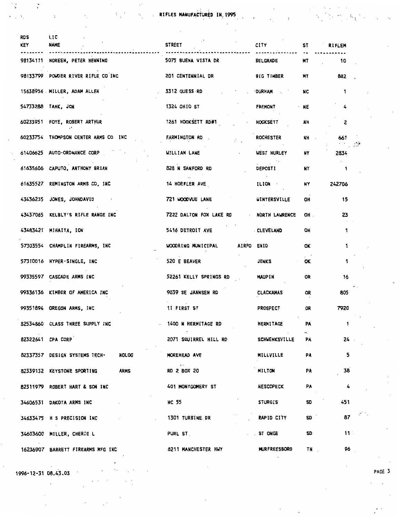**Example 21 AV RIFLES MANUFACTURED IN 1995** 

 $\overline{t}$ 

 $\sim$   $\sim$ 

 $\ddot{\phantom{a}}$ 

 $\boldsymbol{\cdot}$ 

| RDS<br>KEY | LIC<br>NAME                                                       | <b>STREET</b>              | <b>CITY</b>                  | ST               | <b>RIFLEM</b>       |
|------------|-------------------------------------------------------------------|----------------------------|------------------------------|------------------|---------------------|
|            |                                                                   |                            |                              |                  |                     |
|            | 98134111 NOREEN, PETER HENNING                                    | 5075 BUENA VISTA DR        | <b>BELGRADE</b>              | MT               | 10                  |
|            | 98133799 POWDER RIVER RIFLE CO INC                                | 201 CENTENNIAL DR          | <b>BIG TIMBER</b>            | MT               | 882                 |
|            | 15638956 MILLER, ADAM ALLEN                                       | 3312 GUESS RD              | <b>DURHAM</b>                | NC               | 1                   |
|            | 54733288 TANK, JON                                                | 1324 OHIO ST               | <b>FREMONT</b>               | <b>NE</b>        | 4                   |
|            | 60233951 FOYE, ROBERT ARTHUR                                      | 1261 HOOKSETT RD#1         | HOOKSETT                     | NH               | 2                   |
|            | 60233754 THOMPSON CENTER ARMS CO INC                              | <b>FARMINGTON RD</b>       | <b>ROCHESTER</b>             | NH.              | 661<br>- 19         |
|            | 61406625 AUTO-ORDNANCE CORP                                       | WILLIAM LANE               | WEST HURLEY                  | NY               | 2834                |
|            | 61635606 CAPUTO, ANTHONY BRIAN                                    | 828 N SANFORD RD           | DEPOSTI                      | NY .             | 1                   |
|            | 61635527 REMINGTON ARMS CO, INC                                   | 14 HOEFLER AVE             | $\mathbf{r}$<br><b>ILION</b> | NY               | 242706              |
|            | 43436235 JONES, JOHNDAVID                                         | 721 WOODVUE LANE           | <b><i>WINTERSVILLE</i></b>   | OH               | 15                  |
|            | 43437065 KELBLY'S RIFLE RANGE INC                                 | 7222 DALTON FOX LAKE RD    | NORTH LAWRENCE               | OH.              | 23                  |
|            | 43483421 MIHAITA, ION                                             | 5416 DETROIT AVE           | <b>CLEVELAND</b>             | OH               | 1                   |
|            | 57303554 CHAMPLIN FIREARMS, INC                                   | WOODRING MUNICIPAL         | AIRPO ENID                   | 0K               | 1                   |
|            | 57310016 HYPER-SINGLE, INC                                        | <b>520 E BEAVER</b>        | <b>JENKS</b>                 | ОK               | 1                   |
|            | 99335597 CASCADE ARMS INC                                         | 52261 KELLY SPRINGS RD     | <b>MAUPIN</b>                | OR               | 16                  |
|            | 99336136 KIMBER OF AMERICA INC                                    | 9039 SE JANNSEN RD         | <b>CLACKAMAS</b>             | OR               | 805                 |
|            | 99351894 OREGON ARMS, INC                                         | 11 FIRST ST                | <b>PROSPECT</b>              | OR               | 7920                |
|            | 82534860 CLASS THREE SUPPLY INC                                   | <b>1400 N HERMITAGE RD</b> | <b>HERMITAGE</b>             | PA               | 1                   |
|            | 82322641 CPA CORP                                                 | 2071 SQUIRREL HILL RD      | <b>SCHWENKSVILLE</b>         | 11.<br>PA        | 24                  |
|            | 82337357 DESIGN SYSTEMS TECH- NOLOG                               | MOREHEAD AVE               | <b>MILLVILLE</b>             | PA               | 5                   |
|            | <b>ARMS</b><br>82339132 KEYSTONE SPORTING                         | $-4$<br>RD 2 BOX 20        | <b>MILTON</b>                | <b>PA</b>        | 38                  |
|            | 82311979 ROBERT HART & SON INC                                    | 401 MONTGOMERY ST          | <b>NESCOPECK</b>             | <b>PA</b>        | $\pmb{\mathcal{L}}$ |
|            | 34606531 DAKOTA ARMS INC                                          | HC 55                      | <b>STURGIS</b>               | 50 <sup>10</sup> | 451                 |
|            | 34633475 H S PRECISION INC<br>the contract of the contract of the | 1301 TURBINE DR            | RAPID CITY                   | SD <sup>1</sup>  | K,<br>87            |
|            | 34603600 MILLER, CHERIE L                                         | PURL ST                    | ST ONGE                      | SD               | $\frac{1}{11}$      |
|            | 16236907 BARRETT FIREARMS MFG INC                                 | 8211 MANCHESTER HWY        | <b>MURFREESBORO</b>          | $TN$ and $N$     | 96                  |

1996-12-31 08.43.03

 $\cdot$ 

 $\frac{1}{2}$ 

 $\epsilon_{\rm{eff}}$  ,  $\delta_{\rm{eff}}$  ,

 $\sim$   $\sim$ 

 $\ddot{\phantom{1}}$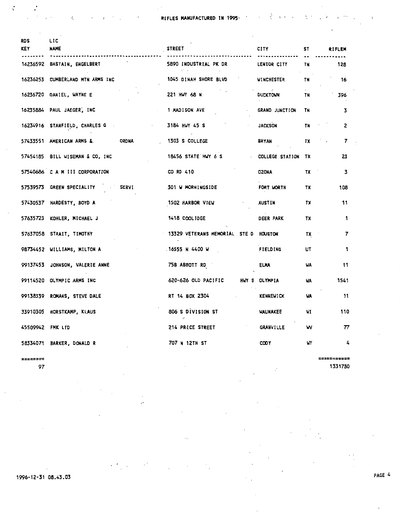| <b>RDS</b><br>KEY | LIC<br><b>NAME</b>                                 | <b>STREET</b>                         | <b>CITY</b>                      | ST        | <b>RIFLEM</b> |
|-------------------|----------------------------------------------------|---------------------------------------|----------------------------------|-----------|---------------|
|                   | 16236592 BASTAIN, ENGELBERT                        | 5890 INDUSTRIAL PK DR<br>AT LC        | LENIOR CITY                      | TN        | 128           |
|                   | 16236253 CUMBERLAND MTN ARMS INC                   | 1045 DINAH SHORE BLVD                 | <b>WINCHESTER</b>                | <b>TN</b> | - 16          |
|                   | 16236720 DANIEL, WAYNE E                           | 221 HWY 68 N                          | $\sim$ $\tau$<br><b>DUCKTOWN</b> | <b>TN</b> | 396           |
|                   | 16235884 PAUL JAEGER, INC                          | 1 MADISON AVE                         | GRAND JUNCTION                   | <b>TN</b> | 3             |
|                   | 16234916 STANFIELD, CHARLES Q<br><b>Contractor</b> | 3184 HWY 45 S                         | <b>JACKSON</b>                   | TN        | $2^{\cdot}$   |
|                   | 57433551 AMERICAN ARMS &<br><b>ORDNA</b>           | <b>1303 S COLLEGE</b>                 | <b>BRYAN</b>                     | TX        | 7             |
|                   | 57454185 BILL WISEMAN & CO, INC.                   | 18456 STATE HWY 6 S                   | COLLEGE STATION TX               |           | 23            |
|                   | 57540686 C A M III CORPORATION                     | CO RD 410                             | <b>OZONA</b>                     | TX 1      | 3             |
|                   | 57539573 GREEN SPECIALITY SERVI                    | 301 W MORNINGSIDE                     | FORT WORTH                       | TX        | 108           |
|                   | 57430537 HARDESTY, BOYD A                          | 1502 HARBOR VIEW                      | AUSTIN                           | TX        | 11            |
|                   | 57635723 KOHLER, MICHAEL J                         | 1418 COOLIDGE                         | <b>DEER PARK</b>                 | TX        | 1             |
|                   | 57637058 STRAIT, TIMOTHY                           | 13329 VETERANS MEMORIAL STE D HOUSTON |                                  | TX        | 7             |
|                   | 98734452 WILLIAMS, MILTON A                        | $.16555$ N 4400 W                     | FIELDING                         | UT        | 1             |
|                   | 99137453 JOHNSON, VALERIE ANNE                     | 75B ABBOTT RD                         | <b>ELMA</b>                      | uA        | 11            |
|                   | 99114520 OLYMPIC ARMS INC                          | 620-626 OLD PACIFIC                   | HWY S OLYMPIA                    | WA        | 1541          |
|                   | 99138339 ROMANS, STEVE DALE                        | RT 14 BOX 2304                        | <b>KENNEWICK</b>                 | WA        | 11            |
|                   | 33910305 HORSTKAMP, KLAUS                          | 806 S DIVISION ST<br>$\mathcal{D}$    | <b><i>WAUNAKEE</i></b>           | WI        | 110           |
| 45509942 FMK LTD  |                                                    | 214 PRICE STREET                      | GRANVILLE                        | W         | 77            |
|                   | 58334071 BARKER, DONALD R                          | 707 N 12TH ST                         | <b>COOY</b>                      | WY        | 4             |

--------

 $\mathcal{L}$ 

Č.

97

=========== 1331780

 $\ddot{\phantom{a}}$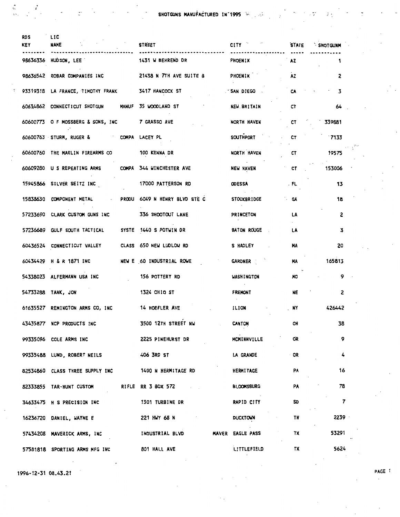$\sim 7^{\circ}$ 

 $\frac{3}{2}$   $\frac{3}{2}$ 

| RDS<br>KEY | LIC<br><b>NAME</b>                                       | <b>STREET</b>                                        | CITY "                                    | <b>STATE</b>   | <b>SHOTGUNM</b> |
|------------|----------------------------------------------------------|------------------------------------------------------|-------------------------------------------|----------------|-----------------|
|            |                                                          | 98636336 HUDSON, LEE 1 1431 W BEHREND DR             | PHOENIX                                   | A2             | 1               |
|            |                                                          | 98636542 ROBAR COMPANIES INC 21438 N 7TH AVE SUITE B | PHOENIX                                   | A <sub>2</sub> | 2               |
|            | 93319318 LA FRANCE, TIMOTHY FRANK 3417 HANCOCK ST        |                                                      | SAN DIEGO                                 | CA             | 3               |
|            | 60634862 CONNECTICUT SHOTGUN MANUF 35 WOODLAND ST        |                                                      | NEW. BRITAIN                              | CT             | 64              |
|            | 60600773 O F MOSSBERG & SONS, INC 7 GRASSO AVE           |                                                      | <b>NORTH HAVEN</b>                        | CT             | 339881          |
|            | 60600763 STURM, RUGER & COMPA LACEY PL                   |                                                      | SOUTHPORT                                 | CT             | $\sqrt{7133}$   |
|            | 60600760 THE MARLIN FIREARMS CO 100 KENNA DR             |                                                      | NORTH HAVEN                               | CT             | 19575           |
|            | 60609280 U S REPEATING ARMS COMPA 344 WINCHESTER AVE     |                                                      | <b>NEW HAVEN</b>                          | C              | 153006          |
|            | 15945866 SILVER SEITZ INC                                | <b>17000 PATTERSON RD</b>                            | <b>ODESSA</b>                             | . FL           | 13              |
|            | 15838630 COMPONENT METAL - PRODU 6049 N HENRY BLVD STE C |                                                      | <b>STOCKBRIDGE</b>                        | ∵ GA           | 18              |
|            | 57233690 CLARK CUSTOM GUNS INC 336 SHOOTOUT LANE         |                                                      | <b>PRINCETON</b>                          | LA             | 2               |
|            | 57236689 GULF SOUTH TACTICAL SYSTE 1440 S POTWIN DR      |                                                      | <b>BATON ROUGE</b>                        | <b>LA</b>      | 3               |
|            | 60436524 CONNECTICUT VALLEY CLASS 650 NEW LUDLOW RD      |                                                      | S HADLEY                                  | MA             | 20              |
|            | 60434429 H & R 1871 INC NEW E 60 INDUSTRIAL ROWE         |                                                      | <b>GARDNER</b>                            | <b>MA</b>      | 165813          |
|            | 54338023 ALFERMANN USA INC                               | 156 POTTERY RD                                       | WASHINGTON                                | NO.            | 9               |
|            | 54733288 TANK, JON                                       | <b>1324 OHIO ST</b>                                  | $\sim 100$ km s $^{-1}$<br><b>FREMONT</b> | NE             | $\overline{c}$  |
|            | 61635527 REMINGTON ARMS CO, INC                          | 14 HOEFLER AVE                                       | ILION                                     | . NY           | 426442          |
|            | 43435877 NCP PRODUCTS INC                                | 3500 12TH STREET NW                                  | CANTON                                    | OH             | 38              |
|            | 99335096 COLE ARMS INC                                   | 2225 PINEHURST DR                                    | MCMINNVILLE                               | OR.            | 9               |
|            | 99335488 LUND, ROBERT NEILS 406 3RD ST                   |                                                      | <b>LA GRANDE</b>                          | <b>OR</b>      | $\frac{1}{2}$   |
|            | 82534860 CLASS THREE SUPPLY INC 1400 N HERMITAGE RD      |                                                      | <b>HERMITAGE</b>                          | PA             | 16              |
|            | 82333855 TAR-HUNT CUSTOM RIFLE RR 3 BOX 572              |                                                      | BLOOMSBURG                                | <b>PA</b>      | 78              |
|            | 34633475 H S PRECISION INC                               | 1301 TURBINE DR                                      | RAPID CITY                                | <b>SD</b>      | $\overline{7}$  |
|            | 16236720 DANIEL, WAYNE E                                 | 221 HWY 68 N                                         | <b>DUCKTOWN</b>                           | <b>TN</b>      | 2239            |
|            | 57434208 MAVERICK ARMS, INC                              | INDUSTRIAL BLVD                                      | <b>MAVER EAGLE PASS</b>                   | <b>TX</b>      | 53291           |
|            | 57581818 SPORTING ARMS MFG INC                           | 801 HALL AVE                                         | LITTLEFIELD                               | TX             | 5624            |

1996-12-31 08.43.21

 $\begin{array}{l} \mathfrak{A}_{\mathcal{O}_{\mathcal{O}_{\mathcal{O}_{\mathcal{O}_{\mathcal{O}_{\mathcal{O}_{\mathcal{O}_{\mathcal{O}_{\mathcal{O}_{\mathcal{O}_{\mathcal{O}_{\mathcal{O}_{\mathcal{O}_{\mathcal{O}_{\mathcal{O}_{\mathcal{O}_{\mathcal{O}_{\mathcal{O}_{\mathcal{O}_{\mathcal{O}_{\mathcal{O}}}}}}}}}}}}\mathfrak{O}_{\mathcal{O}_{\mathcal{O}_{\mathcal{O}_{\mathcal{O}}}}}}\times 1} \end{array}$ 

 $\frac{1}{\alpha}$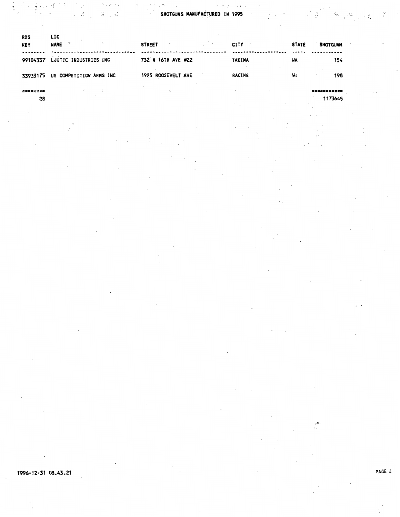SHOTGUNS MANUFACTURED IN 1995

| <b>RDS</b><br><b>KEY</b> | LIC<br>$\mathbf{r}$<br><b>NAME</b> | <b>STREET</b>      | <b>CITY</b>   | <b>STATE</b> | <b>SHOT GUNH</b> |
|--------------------------|------------------------------------|--------------------|---------------|--------------|------------------|
| 99104337                 | LJUTIC INDUSTRIES INC              | 732 N 16TH AVE #22 | <b>YAKIMA</b> | WA           | 154              |
|                          | 33933175 US COMPETITION ARMS INC   | 1925 ROOSEVELT AVE | <b>RACINE</b> | WI           | 198              |
|                          |                                    |                    |               |              |                  |

1173645

 $\left\langle \begin{array}{cc} \mathbf{v}^{\mathcal{A}}_{1,1} & \mathbf{v}^{\mathcal{A}}_{1,2} & \mathbf{v}^{\mathcal{B}}_{1,2} \\ \mathbf{v}^{\mathcal{A}}_{1,1} & \mathbf{v}^{\mathcal{B}}_{1,2} & \mathbf{v}^{\mathcal{B}}_{1,2} \\ \mathbf{v}^{\mathcal{B}}_{1,2} & \mathbf{v}^{\mathcal{B}}_{1,2} & \mathbf{v}^{\mathcal{B}}_{1,2} \\ \end{array} \right\rangle$ 

Ň

1996-12-31 08.43.21

 $\frac{1}{2}$ 

28

 $\mathcal{B} \subset \mathcal{G}$ 

 $\mathcal{L}$ 

 $\ddot{\phantom{a}}$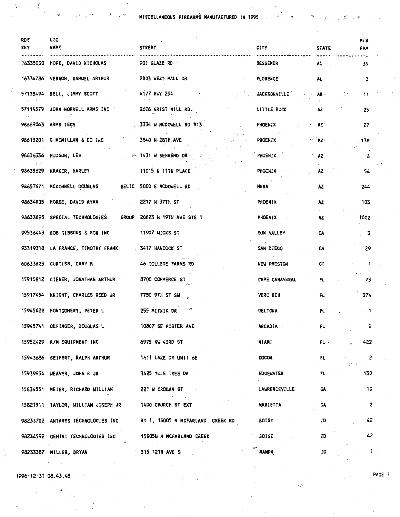MISCELLANEOUS FIREARMS NANUFACTURED IN 1995

 $\vec{\omega}$ 

 $\mathcal{L}_\bullet$ 

 $\mathbb{R}$ 

 $\sim$   $\sim$ 

 $\mathcal{G}$ 

 $\ddot{ }$ 

| <b>RDS</b><br><b>KEY</b> | <b>LIC</b><br><b>NAME</b>                                  | <b>STREET</b>                    | <b>CITY</b>                     | <b>STATE</b>        | MIS<br>FAM                                      |
|--------------------------|------------------------------------------------------------|----------------------------------|---------------------------------|---------------------|-------------------------------------------------|
|                          | 16335030 HOPE, DAVID NICHOLAS                              | 901 GLAZE RD                     | <b>BESSEMER</b>                 | AL .                | 39                                              |
|                          | 16334786 VERNON, SAMUEL ARTHUR 2803 WEST MALL DR           |                                  | <b>FLORENCE</b>                 | AL.                 | 3                                               |
|                          | 57135494 BELL, JIMMY SCOTT                                 | $.4177$ HWY 294                  | <b>JACKSONVILLE</b>             | - ⊱ AR <sup>(</sup> | $\sim$ 11                                       |
|                          | 57114579 JOHN NORRELL ARMS INC                             | 2608 GRIST MILL RD.              | LITTLE ROCK                     | AR                  | 25                                              |
|                          | 98669063 ARMS TECH                                         | 3334 W MCDOWELL RD #13           | PHOENIX                         | $\mathsf{A}$        | 27                                              |
|                          | 98613201 G MCMILLAN & CO INC                               | 3840 N 28TH AVE                  | PHOENIX                         | $\mathbf{A}$        | 5,138                                           |
|                          | 98636336 HUDSON, LEE                                       | <b>WELL 1431 W. BEHREND DR</b>   | PHOENIX                         | AZ <sup>1</sup>     | з                                               |
|                          | 98635629 KRAGER, HARLEY                                    | 11015 N 11TH PLACE               | <b>PHOENIX</b>                  | <b>AZ</b>           | 54                                              |
|                          | 98657671 MCDONNELL DOUGLAS                                 | HELIC 5000 E MCDOWELL RD         | MESA                            | AZ.                 | 244                                             |
|                          | 98634005 MORSE, DAVID RYAN                                 | 2217 N 371H ST                   | <b>PHOENIX</b>                  | AZ.                 | 103                                             |
|                          | 98633895 SPECIAL TECHNOLOGIES GROUP 20823 N 19TH AVE STE 1 |                                  | PHOENIX                         | AZ.                 | 1002                                            |
|                          | 99536443 BOB GIBBONS & SON INC 11907 WICKS ST              |                                  | SUN VALLEY                      | · .CA               | 3                                               |
|                          | 93319318 LA FRANCE, TIMOTHY FRANK - 3417 HANCOCK ST        |                                  | SAN DIEGO                       | CA                  | 29                                              |
|                          | 60633623 CURTISS, GARY M                                   | 46 COLLEGE FARMS RD              | NEW PRESTON                     | CT                  | i                                               |
|                          | 15915812 CIENER, JONATHAN ARTHUR                           | 8700 COMMERCE ST                 | CAPE CANAVERAL                  | FL                  | 73                                              |
|                          | 15917454 KNIGHT, CHARLES REED JR                           | 7750 9TH ST SW                   | VERO BCH                        | FL                  | 374                                             |
|                          | 15945022 MONTGOMERY, PETER L                               | 255 MITNIK DR                    | <b>DELTONA</b>                  | FL                  | $\sim$ 1                                        |
|                          | 15945741 OEFINGER, DOUGLAS L                               | 10807 SE FOSTER AVE              | <b>ARCADIA</b>                  | FL                  | $\mathsf{z}$                                    |
|                          | 15952429 R/M EQUIPMENT INC                                 | 6975 NW 43RD ST                  | MIAMI                           | FL .                | 422                                             |
|                          | 15943686 SEIFERT, RALPH ARTHUR                             | 1611 LAKE DR UNIT 6E             | COCOA                           | FL                  | $\overline{c}$<br>$\mathbb{C}^{n_1 \times n_2}$ |
|                          | 15939954 WEAVER, JOHN R JR                                 | 3425 YULE TREE DR                | <b>EDGEWATER</b>                | FL.                 | 130                                             |
|                          | 15834551 MEIER, RICHARD WILLIAM                            | 221 W CROGAN ST                  | LAWRENCEVILLE                   | GA                  | 10                                              |
|                          | 15821511 TAYLOR, WILLIAM JOSEPH JR                         | 1400 CHURCH ST EXT               | $\sim 100$<br><b>MARIETTA</b>   | GA                  | 2                                               |
|                          | 98233702 ANTARES TECHNOLOGIES INC                          | RT 1, 15005 N MCFARLAND CREEK RD | <b>Contract</b><br><b>BOISE</b> | ID                  | 42                                              |
|                          | 98234592 GEMINI TECHNOLOGIES INC<br>القيام                 | 15005B N MCFARLAND CREEK         | <b>BOISE</b>                    | ID                  | 42                                              |
|                          | 98233387 MILLER, BRYAN                                     | <b>315 12TH AVE S</b>            | <b>NAMPA</b>                    | ID                  | $\mathbf{1}$                                    |

1996-12-31 08.43.48

 $\mathbb{P}^{L^2\times L}$ 

 $\mathcal{X}$ 

 $\bar{\phi}$ 

 $\langle \hat{\cdot} \rangle$ 

 $\ddot{\phantom{a}}$  $\cdot$ y  $\pmb{\epsilon}$ 

 $\mathbf{e}^{\alpha}$ 

 $\hat{L}$ 

PAGE :

 $\mathcal{F}^{\text{adv}}_{\mathcal{N}}$  .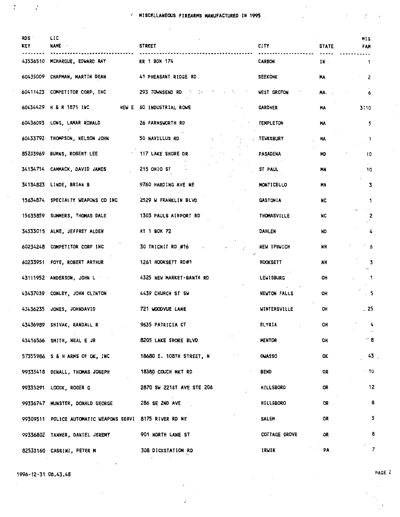**EXECUTE MISCELLANEOUS FIREARMS MANUFACTURED IN 1995** 

| <b>RDS</b><br>KEY | LIC<br>NAME -                                            | <b>STREET</b>                                       | <b>CITY</b>        | <b>STATE</b> | MIS<br><b>FAN</b> |
|-------------------|----------------------------------------------------------|-----------------------------------------------------|--------------------|--------------|-------------------|
| 43536510          | MCHARGUE, EDWARD RAY                                     | RR 1 BOX 174                                        | <b>CARBON</b>      | IN -         | 1                 |
|                   | 60435009 CHAPMAN, MARTIN DEAN                            | 41 PHEASANT RIDGE RD.                               | <b>SEEKONK</b>     | <b>MA</b>    | 2                 |
|                   | 60411423 COMPETITOR CORP., INC.                          | 293 TOWNSEND RD                                     | <b>WEST GROTON</b> | MA.          | 6                 |
|                   | 60434429 H & R 1871 INC                                  | NEW E 60 INDUSTRIAL ROWE                            | <b>GARDNER</b>     | MA           | 3110              |
|                   | 60436093 LONG, LAMAR RONALD                              | 26 FARNSWORTH RD                                    | <b>TEMPLETON</b>   | MA           | 5                 |
|                   | 60433792 THOMPSON, NELSON JOHN                           | 50 NAVILLUS RD                                      | <b>TEUKSBURY</b>   | MA           | $\mathbf{1}$      |
| 85233969          | BURNS, ROBERT LEE                                        | 117 LAKE SHORE DR                                   | <b>PASADENA</b>    | MD           | 10                |
|                   | 34134714 CAMMACK, DAVID JAMES                            | 215 OHIO ST                                         | ST PAUL            | MN           | 10                |
|                   | 34134823 LINDE, BRIAN B                                  | 9760 HARDING AVE NE                                 | <b>MONTICELLO</b>  | MN           | 3                 |
|                   | 15634874 SPECIALTY WEAPONS CO INC                        | 2529 W FRANKLIN BLVD                                | <b>GASTONIA</b>    | <b>NC</b>    | 1                 |
|                   | 15635859 SUMMERS, THOMAS DALE                            | 1303 PAULS AIRPORT RD                               | <b>THOMASVILLE</b> | NC           | 2                 |
|                   | 34533015 ALME, JEFFREY ALDEN                             | RT 1 BOX 72                                         | DAHLEN             | ND           | 4                 |
| 60234248          | COMPETITOR CORP INC                                      | 30 TRICNIT RD #16                                   | NEW IPSWICH        | NH           | 6                 |
| 60233951          | FOYE, ROBERT ARTHUR                                      | 1261 HOOKSETT RD#1                                  | HOOKSETT           | NH           | з                 |
|                   | 43111952 ANDERSON, JOHN L                                | 4325 NEW MARKET-BANTA RD                            | <b>LEWISBURG</b>   | OH           | 1                 |
| 43437039          | CONLEY, JOHN CLINTON                                     | 4439 CHURCH ST SW                                   | NEWTON FALLS       | OH           | 5 <sub>2</sub>    |
| 43436235          | JONES, JOHNDAVID                                         | 721 WOODVUE LANE                                    | WINTERSVILLE       | OH           | $\sim 25$         |
|                   | 43436989 SHIVAK, RANDALL R                               | 9635 PATRICIA CT                                    | ELYRIA             | OH           | $-4$              |
|                   | 43416566 SMITH, NEAL E JR                                | 8205 LAKE SHORE BLVD                                | <b>MENTOR</b>      | OH           | ‴ 8               |
|                   | 57355986 S & H ARMS OF OK, INC                           | 18680 E. 108TH STREET, N<br>$\epsilon$ , $\epsilon$ | <b>OWASSO</b>      | OK           | 43 <sub>1</sub>   |
|                   | 99335418 DENALL, THOMAS JOSEPH                           | 18380 COUCH MKT RD                                  | <b>BEND</b>        | OR           | $-10$             |
|                   | 99335291 LOOCK, ROGER G                                  | 2870 SW 221ST AVE STE 208                           | <b>HILLSBORO</b>   | OR           | 12                |
|                   | 99336747 MUNSTER, DONALD GEORGE                          | 286 SE 2ND AVE                                      | HILLSBORO          | OR           | 8                 |
|                   | 99309311 POLICE AUTOMATIC WEAPONS SERVI 8175 RIVER RD NE |                                                     | <b>SALEM</b>       | OR           | 5                 |
|                   | 99336802 TANNER, DANIEL JEREMY                           | 901 NORTH LANE ST                                   | COTTAGE GROVE      | OR           | 8                 |
|                   | 82533160 CASSINI, PETER M                                | 308 DICKSTATION RD                                  | IRWIN              | PA           | .<br>$\mathbf{7}$ |

 $\sigma_{\rm{max}}$ 

 $\vec{\star}$ 

1996-12-31 08.43.48

 $\bar{z}$ 

 $\mathcal{T}=\mathcal{X}=\mathcal{X}$ 

PAGE 2

 $\mathcal{L}_{\mathcal{A}}$ 

Ť

 $\gamma$ 

 $\overline{\phantom{a}}$ 

 $\overline{\mathcal{L}}$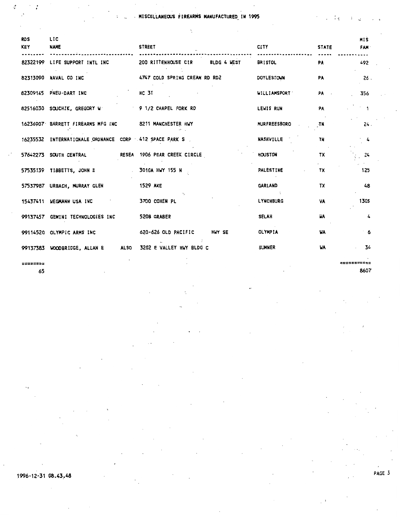MISCELLANEOUS FIREARMS MANUFACTURED IN 1995

| <b>RDS</b><br><b>KEY</b> | LIC<br><b>NAME</b>                                     | <b>STREET</b>                   | <b>CITY</b><br>     | <b>STATE</b> | <b>MIS</b><br>FAM · |
|--------------------------|--------------------------------------------------------|---------------------------------|---------------------|--------------|---------------------|
|                          | 82322199 LIFE SUPPORT INTL INC                         | 200 RITTENHOUSE CIR BLDG 4 WEST | <b>BRISTOL</b>      | <b>PA</b>    | 492                 |
|                          | 82313090 NAVAL CO INC                                  | 4747 COLD SPRING CREAM RD RD2   | <b>DOYLESTOWN</b>   | <b>PA</b>    | 26.                 |
|                          | 82309145 PNEU-DART INC                                 | <b>HC 31</b>                    | <b>WILLIAMSPORT</b> | PA -         | 356                 |
|                          | 82516030 SOUCHIK, GREGORY W 9 1/2 CHAPEL FORK RD       |                                 | <b>LEWIS RUN</b>    | PA           | $\sim$ 1.           |
|                          | 16236907 BARRETT FIREARMS MFG INC 8211 MANCHESTER HWY  |                                 | <b>MURFREESBORO</b> | -TN          | 24.                 |
|                          | 16235532 INTERNATIONALE ORDNANCE CORP 412 SPACE PARK S |                                 | <b>NASHVILLE</b>    | <b>TN</b>    | $\frac{1}{4}$       |
|                          | 57642273 SOUTH CENTRAL                                 | RESEA 1906 PEAR CREEK CIRCLE    | HOUSTON             | TX           | - 24                |
|                          | 57535139 TIBBETTS, JOHN E 3010A HWY 155 N              |                                 | PALESTINE           | TX           | 125                 |
|                          | 57537987 URBACH, MURRAY GLEN                           | <b>1529 AXE</b>                 | <b>GARLAND</b>      | TX           | 48                  |
|                          | 15437411 WEGMANN USA INC                               | 3700 COHEN PL                   | <b>LYNCHBURG</b>    | <b>VA</b>    | 1305                |
|                          | 99137457 GEMINI TECHNOLOGIES INC                       | 520B GRABER                     | SELAH               | <b>UA</b>    | 4                   |
|                          | 99114520 OLYMPIC ARMS INC                              | 620-626 OLD PACIFIC HWY SE      | <b>OLYMPIA</b>      | WA           | 6 ف                 |
|                          | 99137383 WOODBRIDGE, ALLAN E ALSO                      | 3202 E VALLEY HWY BLDG C        | <b>SUMNER</b>       | <b>HA</b>    | 34                  |
|                          |                                                        |                                 |                     |              |                     |

is: 65

1996-12-31 08.43,48

====

8607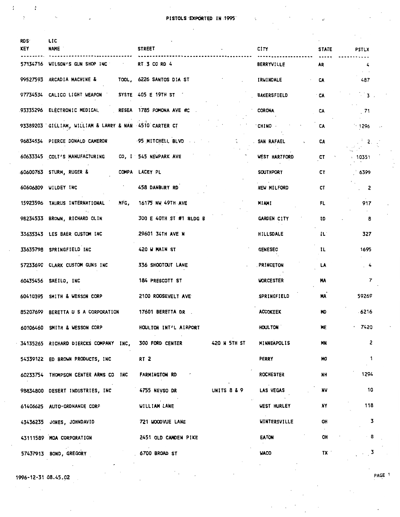| RDS <sup>.</sup><br><b>KEY</b> | LIC<br><b>NAME</b>                                     | <b>STREET</b>                   | CITY               | <b>STATE</b> | PSTLX                        |
|--------------------------------|--------------------------------------------------------|---------------------------------|--------------------|--------------|------------------------------|
|                                | 57134716 WILSON'S GUN SHOP INC                         | RT 3 CO RD 4                    | <b>BERRYVILLE</b>  | AR.          | 4                            |
|                                | 99527593 ARCADIA MACHINE & TOOL, 6226 SANTOS DIA ST    |                                 | <b>IRWINDALE</b>   | CA           | $\lambda$ . $\lambda$<br>487 |
|                                | 97734534 CALICO LIGHT WEAPON SYSTE 405 E 19TH ST       |                                 | <b>BAKERSFIELD</b> | <b>CA</b>    | $\sim$ 3.                    |
|                                | 93335296 ELECTRONIC MEDICAL RESEA 1785 POMONA AVE #C . |                                 | <b>CORONA</b>      | CA           | .71                          |
|                                | 93389203 GILLIAM, WILLIAM & LARRY & NAN 4510 CARTER CT |                                 | CHINO.             | CA           | $-1296$                      |
|                                | 96834534 PIERCE DONALD CAMERON 95 MITCHELL BLVD        |                                 | SAN RAFAEL         | CA           | $\mathbb{R}^3$ .             |
|                                | 60633345 COLT'S MANUFACTURING CO, I 545 NEWPARK AVE    |                                 | WEST HARTFORD      | CT           | 、10351                       |
|                                | 60600763 STURM, RUGER &                                | COMPA LACEY PL                  | <b>SOUTHPORT</b>   | CT           | 16399                        |
|                                | 60606809 WILDEY INC                                    | 458 DANBURY RD                  | NEW MILFORD        | CT           | 2                            |
|                                | 15923596 TAURUS INTERNATIONAL MFG,                     | 16175 NW 49TH AVE               | MIAMI              | FL           | 917                          |
|                                | 98234533 BROWN, RICHARD OLIN                           | 300 E 40TH ST #1 BLDG B         | <b>GARDEN CITY</b> | ID           | 8                            |
|                                | 33635343 LES BAER CUSTOM INC                           | 29601 34TH AVE N                | HILLSDALE          | IL.          | 327                          |
|                                | 33635798 SPRINGFIELD INC                               | 420 W MAIN ST                   | <b>GENESEO</b>     | IL.          | 1695                         |
|                                | 57233690 CLARK CUSTOM GUNS INC                         | 336 SHOOTOUT LANE               | <b>PRINCETON</b>   | <b>LA</b>    | .4                           |
|                                | 60435456 SAEILO, INC                                   | 184 PRESCOTT ST                 | <b>WORCESTER</b>   | MA           | 7                            |
|                                | 60410395 SMITH & WESSON CORP                           | 2100 ROOSEVELT AVE              | <b>SPRINGFIELD</b> | MA           | 59269                        |
|                                | 85207699 BERETTA U S A CORPORATION                     | <b>17601 BERETTA DR</b>         | <b>ACCOKEEK</b>    | <b>MD</b>    | $-6216$                      |
|                                | 60106460 SMITH & WESSON CORP                           | HOULTON INT'L AIRPORT           | HOULTON            | ME           | $-7420$                      |
|                                | 34135265 RICHARD DIERCKS COMPANY INC,                  | 300 FORD CENTER<br>420 N 5TH ST | MINNEAPOLIS        | <b>MN</b>    | 2                            |
|                                | 54339122 ED BROWN PRODUCTS, INC                        | RT <sub>2</sub>                 | <b>PERRY</b>       | HO.          | $\mathbf{1}$                 |
|                                | 60233754 THOMPSON CENTER ARMS CO INC                   | <b>FARMINGTON RD</b>            | <b>ROCHESTER</b>   | <b>NH</b>    | 1294                         |
|                                | 98834800 DESERT INDUSTRIES, INC                        | UNITS 8 & 9<br>4755 NEVSO DR    | LAS VEGAS          | NV           | 10                           |
|                                | 61406625 AUTO-ORDNANCE CORP                            | WILLIAM LANE                    | WEST HURLEY        | NY           | 118                          |
|                                | 43436235 JONES, JOHNDAVID                              | 721 HOODVUE LANE                | WINTERSVILLE       | OH           | 3                            |
|                                | 43111589 MOA CORPORATION                               | 2451 OLD CAMDEN PIKE            | <b>EATON</b>       | OH           | - 8                          |
| 57437913                       | BOND, GREGORY                                          | 6700 BROAD ST                   | <b>WACO</b>        | TX 1         | $\sim 3$                     |

1996-12-31 08.45.92 PAGE 1  $\bar{z}$ 

 $\mathcal{L}^{\mathcal{L}}$ 

 $\mathbf{I}$ 

 $\cdot$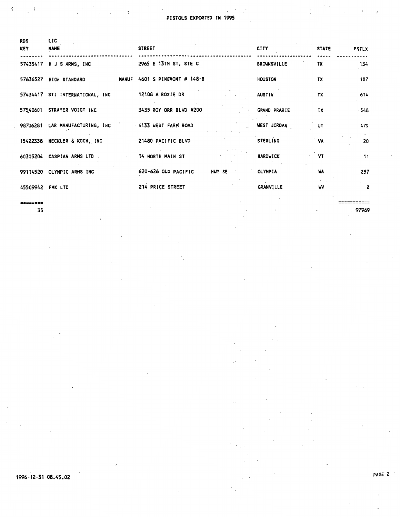$\ddot{\cdot}$ 

| <b>RDS</b><br><b>KEY</b> | LIC<br><b>NAME</b>              | <b>STREET</b>                 | <b>CITY</b>         | <b>STATE</b> | <b>PSTLX</b> |
|--------------------------|---------------------------------|-------------------------------|---------------------|--------------|--------------|
|                          | 57435417 H J S ARMS, INC        | 2965 E 13TH ST, STE C         | <b>BROWNSVILLE</b>  | TX           | 134          |
|                          | 57636527 HIGH STANDARD          | MANUF 4601 S PINEMONT # 148-B | HOUSTON             | TX           | 187          |
|                          | 57434417 STI INTERNATIONAL, INC | 12108 A ROXIE DR              | <b>AUSTIN</b>       | TX           | 614          |
|                          | 57540601 STRAYER VOIGT INC      | 3435 ROY ORR BLVD #200        | <b>GRAND PRARIE</b> | TX           | $-348$       |
|                          | 98706281 LAR MANUFACTURING, INC | 4133 WEST FARM ROAD           | <b>WEST JORDAN</b>  | UT           | 479          |
|                          | 15422338 HECKLER & KOCH, INC    | 21480 PACIFIC BLVD            | <b>STERLING</b>     | VA           | 20           |
|                          | 60305204 CASPIAN ARMS LTD       | 14 NORTH MAIN ST              | HARDWICK            | VT           | 11           |
|                          | 99114520 OLYMPIC ARMS INC       | 620-626 OLD PACIFIC<br>HWY SE | <b>OLYMPIA</b>      | <b>WA</b>    | 257          |
| 45509942 FMK LTD         |                                 | 214 PRICE STREET              | <b>GRANVILLE</b>    | w            | 2            |
|                          |                                 |                               |                     |              |              |

========

 $\ddot{\cdot}$ 

 $\mathbf{I}$ 

35

PAGE 2

=========== 97969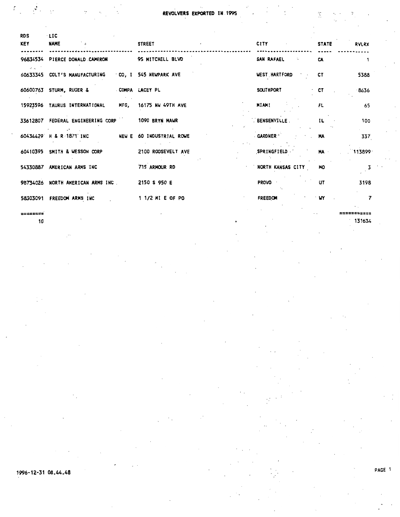Ķ

| <b>RDS</b><br><b>KEY</b> | $-LIC$<br>$\sim 10^{-11}$ s<br><b>NAME</b>           | <b>STREET</b>            | <b>CITY CITY</b>                         | <b>STATE</b> | <b>RYLRX</b>   |
|--------------------------|------------------------------------------------------|--------------------------|------------------------------------------|--------------|----------------|
|                          | 96834534 PIERCE DONALD CAMERON                       | 95 MITCHELL BLVD         | SAN RAFAEL<br>the company of the company | <b>CA</b>    |                |
| $\sim$ $\sim$            | 60633345 COLT'S MANUFACTURING CO, I 545 NEWPARK AVE  |                          | <b>WEST HARTFORD</b>                     | CT           | 5388           |
|                          | 60600763 STURM, RUGER & COMPA LACEY PL               |                          | SOUTHPORT                                | ∵ CT         | 8636           |
|                          | 15923596 TAURUS INTERNATIONAL MFG, 16175 NW 49TH AVE |                          | MIAMI                                    | <b>FL</b>    | 65             |
|                          | 33612807 FEDERAL ENGINEERING CORP 1090 BRYN MAWR     |                          | BENSENVILLE                              | IL.          | 100            |
|                          | 60434429 H & R 1871 INC                              | NEW E 60 INDUSTRIAL ROWE | <b>GARDNER</b>                           | <b>MA</b>    | 337            |
|                          | 60410395 SMITH & WESSON CORP                         | 2100 ROOSEVELT AVE       | <b>SPRINGFIELD</b>                       | <b>MA</b>    | 113899         |
|                          | 54330887 AMERICAN ARMS INC                           | 715 ARMOUR RD            | NORTH KANSAS CITY                        | <b>MO</b>    | $\frac{3}{2}$  |
|                          | 98734026 NORTH AMERICAN ARMS INC.                    | 2150 S 950 E             | <b>PROVO</b>                             | UT           | 3198           |
|                          | 58303091 FREEDOM ARMS INC                            | 1 1/2 MI E OF PO         | <b>FREEDOM</b>                           | WY           | $\overline{7}$ |
|                          |                                                      |                          |                                          |              |                |

 $\mathcal{I}_{\text{int}}=\int_{\mathbb{R}^{2}}\omega_{\text{int}}$ 

10

1996-12-31 08.44.48

===

131634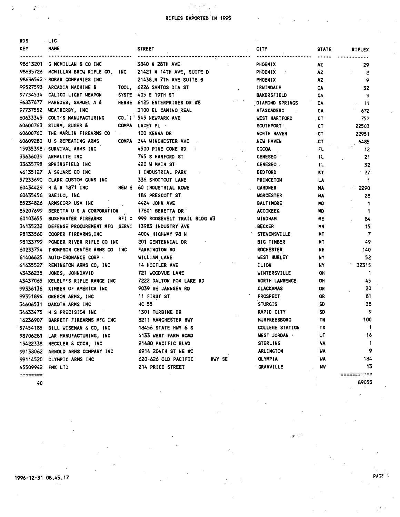## $\mathcal{L} \subset \mathcal{L}$ RIFLES EXPORTED IN 1995

 $\cdot$ 

| RD S       | - LIC                                            |                                   |               |                     |              |                |
|------------|--------------------------------------------------|-----------------------------------|---------------|---------------------|--------------|----------------|
| <b>KEY</b> | <b>NAME</b>                                      | <b>STREET</b>                     | <b>CITY</b>   |                     | <b>STATE</b> | <b>RIFLEX</b>  |
|            | 98613201 G MCMILLAN & CO INC                     | 3840 N 28TH AVE                   |               | PHOENIX             | AZ.          | -29            |
|            | 98635726 MCMILLAN BROW RIFLE CO,<br>INC          | 21421 N 14TH AVE, SUITE D         |               | PHOENIX             | AZ.          | 2              |
|            | 98636542 ROBAR COMPANIES INC                     | 21438 N 7TH AVE SUITE B           |               | <b>PHOENIX</b>      | AZ.          | 9              |
|            | 99527593 ARCADIA MACHINE &                       | TOOL, 6226 SANTOS DIA ST          |               | IRWINDALE           | CA           | 32             |
|            | 97734534 CALICO LIGHT WEAPON                     | SYSTE 405 E 19TH ST               |               | <b>BAKERSFIELD</b>  | CA           | 9              |
|            | 96837677 PAREDES, SAMUEL A &                     | HERBE 6125 ENTERPRISES DR #8      |               | DIAMOND SPRINGS     | CA           | -11            |
|            | 97737552 WEATHERBY, INC                          | 3100 EL CAMINO REAL               |               | <b>ATASCADERO</b>   | CA           | 672            |
|            | 60633345 COLT'S MANUFACTURING                    | CO, I 545 NEWPARK AVE             |               | WEST HARTFORD       | CT           | .757           |
|            | 60600763 STURM, RUGER &                          | COMPA LACEY PL -                  |               | <b>SOUTHPORT</b>    | CT           | 22503          |
|            | 60600760 THE MARLIN FIREARMS CO                  | 100 KENNA DR                      |               | NORTH HAVEN         | ∘CT          | 22951          |
|            | 60609280 U S REPEATING ARMS                      | COMPA 344 WINCHESTER AVE          |               | NEW HAVEN           | .CT          | 6485           |
|            | 15935398 SURVIVAL ARMS INC                       | 4500 PINE CONE RD                 | <b>COCOA</b>  |                     | FL.          | 12             |
|            | 33636039 ARMALITE INC                            | 745 S HANFORD ST                  |               | <b>GENESEO</b>      | ΙL           | 21             |
|            | 33635798 SPRINGFIELD INC                         | 420 W MAIN ST                     |               | <b>GENESEO</b>      | ΙL           | 32             |
|            | 46135127 A SQUARE CO INC                         | 1 INDUSTRIAL PARK                 |               | <b>BEDFORD</b>      | K۲۰          | $\cdot$ 27     |
|            | 57233690 CLARK CUSTOM GUNS INC                   | 336 SHOOTOUT LANE                 |               | <b>PRINCETON</b>    | LA           | $\mathbf 1$    |
|            | 60434429 H & R 1871 INC                          | NEW E 60 INDUSTRIAL ROWE          |               | <b>GARDNER</b>      | MA           | 2290           |
|            | 60435456 SAEILO, INC                             | 184 PRESCOTT ST                   |               | <b>WORCESTER</b>    | HA           | 28             |
|            | 85234826 ARMSCORP USA INC                        | 4424 JOHN AVE                     |               | <b>BALTIMORE</b>    | ND           | 1              |
|            | 85207699 BERETTA U S A CORPORATION               | 17601 BERETTA DR <sup>*</sup>     |               | <b>ACCOKEEK</b>     | ю            | -1             |
| 60103655   | <b>BUSHMASTER FIREARMS</b>                       | BFI Q 999 ROOSEVELT TRAIL BLDG #3 |               | WINDHAM             | ME           | 84             |
| 34135232   | DEFENSE PROCUREMENT MFG SERVI 13983 INDUSTRY AVE |                                   | <b>BECKER</b> |                     | MN           | 15             |
|            | 98133560 COOPER FIREARMS, INC                    | 4004 HIGHWAY 98 N                 |               | <b>STEVENSVILLE</b> | MT           | $\overline{7}$ |
|            | 98133799 POWDER RIVER RIFLE CO INC               | 201 CENTENNIAL DR                 |               | <b>BIG TIMBER</b>   | MT           | 49             |
| 60233754   | THOMPSON CENTER ARMS CO INC                      | <b>FARMINGTON RD</b>              |               | <b>ROCHESTER</b>    | NΗ           | 140            |
| 61406625   | <b>AUTO-ORDNANCE CORP</b>                        | WILLIAM LANE                      |               | <b>WEST HURLEY</b>  | NY           | 52             |
| 61635527   | REMINGTON ARMS CO, INC                           | 14 HOEFLER AVE                    | ILION         |                     | `NY.         | 32315          |
| 43436235   | JONES, JOHNDAVID                                 | 721 WOODVUE LANE                  |               | WINTERSVILLE        | OH           | $\mathbf{1}$   |
| 43437065   | KELBLY'S RIFLE RANGE INC                         | 7222 DALTON FOX LAKE RD           |               | NORTH LAWRENCE      | OH           | 45             |
| 99336136   | KIMBER OF AMERICA INC                            | 9039 SE JANNSEN RD                |               | CLACKAMAS           | OR           | 20             |
|            | 99351894 OREGON ARMS, INC.                       | 11 FIRST ST                       |               | <b>PROSPECT</b>     | OR           | 81             |
|            | 34606531 DAKOTA ARMS INC                         | <b>HC 55</b>                      |               | <b>STURGIS</b>      | SD           | 38             |
| 34633475   | H S PRECISION INC                                | 1301 TURBINE DR                   |               | <b>RAPID CITY</b>   | SD           | 9              |
| 16236907   | BARRETT FIREARMS MFG INC                         | 8211 MANCHESTER HWY               |               | <b>MURFREESBORO</b> | TN           | 100            |
| 57454185   | BILL WISEMAN & CO, INC                           | 18456 STATE HWY 6 S               |               | COLLEGE STATION     | TX           | $\mathbf{1}$   |
| 98706281   | LAR MANUFACTURING, INC                           | 4133 WEST FARM ROAD               |               | WEST JORDAN         | UŤ           | 16             |
|            | 15422338 HECKLER & KOCH, INC                     | 21480 PACIFIC BLVD                |               | <b>STERLING</b>     | VA           | 1              |
|            | 99138062 ARNOLD ARMS COMPANY INC                 | 6914 204TH ST NE #C               |               | ARLINGTON           | WA           | 9              |
| 99114520   | OLYMPIC ARMS INC                                 | 620-626 OLD PACIFIC<br>HWY SE     |               | <b>OLYMPIA</b>      | <b>WA</b>    | 184            |
| 45509942   | FMK LTD                                          | 214 PRICE STREET                  |               | GRANVILLE           | W            | 13             |
| ========   |                                                  |                                   |               |                     |              | ===========    |
| 40         |                                                  |                                   |               |                     |              | 89053          |

 $\mathcal{L}^{\mathcal{A}}$ 

 $\ddot{\bullet}$ 

1996-12-31 08.45.17 PAGE

 $\omega$  .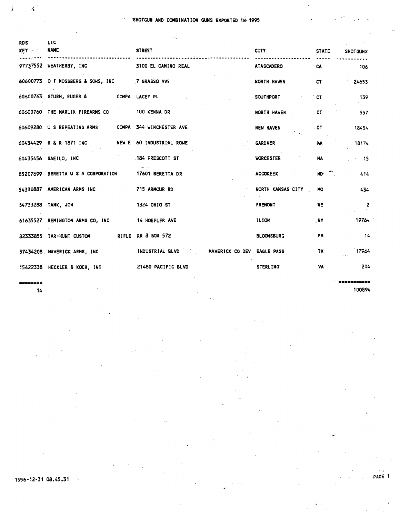$\cdot$ 

| RDS<br><b>KEY</b> | LIC<br><b>NAME</b>                                   | <b>STREET</b>                              | <b>CITY</b>       | <b>STATE</b>    | <b>SHOTGUNX</b>         |
|-------------------|------------------------------------------------------|--------------------------------------------|-------------------|-----------------|-------------------------|
|                   | 97737552 WEATHERBY, INC                              | 3100 EL CAMINO REAL                        | <b>ATASCADERO</b> | CA              | 106                     |
|                   | 60600773 O F MOSSBERG & SONS, INC 7 GRASSO AVE       |                                            | NORTH HAVEN       | CT              | 24653                   |
|                   | 60600763 STURM, RUGER & COMPA LACEY PL               |                                            | <b>SOUTHPORT</b>  | <b>CT</b>       | 139                     |
|                   | 60600760 THE MARLIN FIREARMS CO                      | 100 KENNA DR                               | NORTH HAVEN       | CT              | 557                     |
|                   | 60609280 U S REPEATING ARMS COMPA 344 WINCHESTER AVE |                                            | NEW HAVEN         | . CT            | 18454                   |
|                   | 60434429 H & R 1871 INC                              | NEW E 60 INDUSTRIAL ROWE                   | <b>GARDNER</b>    | MA              | 18174                   |
|                   | 60435456 SAEILO, INC                                 | 184 PRESCOTT ST                            | <b>WORCESTER</b>  | <b>HA</b>       | 15                      |
|                   | 85207699 BERETTA U S A CORPORATION                   | <b>17601 BERETTA DR</b>                    | <b>ACCOKEEK</b>   | $MO^{\alpha}$ . | 414                     |
|                   | 54330887 AMERICAN ARMS INC                           | 715 ARMOUR RD                              | NORTH KANSAS CITY | ю               | 434                     |
|                   | 54733288 TANK, JON                                   | <b>1324 OHIO ST</b>                        | FREMONT           | <b>NE</b>       | $\overline{\mathbf{c}}$ |
|                   | 61635527 REMINGTON ARMS CO, INC 14 HOEFLER AVE       |                                            | ILION             | NY.             | 19764                   |
|                   | 82333855 TAR-HUNT CUSTOM                             | RIFLE RR 3 BOX 572                         | <b>BLOOMSBURG</b> | PA              | 14                      |
|                   | 57434208 MAVERICK ARMS, INC                          | INDUSTRIAL BLVD MAVERICK CO DEV EAGLE PASS |                   | TX              | 17964                   |
|                   | 15422338 HECKLER & KOCH, INC                         | 21480 PACIFIC BLVD                         | <b>STERLING</b>   | VA              | 204                     |
|                   |                                                      |                                            |                   |                 |                         |

=====

ï.

4

 $14$ 

;======== 100894

 $\ddot{\phantom{0}}$ PAGE 1